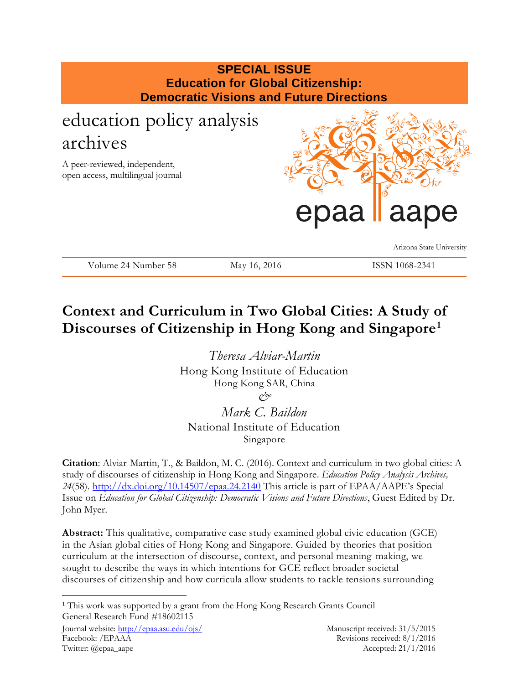# **SPECIAL ISSUE Education for Global Citizenship: Democratic Visions and Future Directions** education policy analysis archives A peer-reviewed, independent, open access, multilingual journal daa Arizona State University Volume 24 Number 58 May 16, 2016 ISSN 1068-2341

## **Context and Curriculum in Two Global Cities: A Study of Discourses of Citizenship in Hong Kong and Singapore<sup>1</sup>**

*Theresa Alviar-Martin*  Hong Kong Institute of Education Hong Kong SAR, China *&*

*Mark C. Baildon*  National Institute of Education Singapore

**Citation**: Alviar-Martin, T., & Baildon, M. C. (2016). Context and curriculum in two global cities: A study of discourses of citizenship in Hong Kong and Singapore. *Education Policy Analysis Archives, 24*(58).<http://dx.doi.org/10.14507/epaa.24.2140> This article is part of EPAA/AAPE's Special Issue on *Education for Global Citizenship: Democratic Visions and Future Directions*, Guest Edited by Dr. John Myer.

**Abstract:** This qualitative, comparative case study examined global civic education (GCE) in the Asian global cities of Hong Kong and Singapore. Guided by theories that position curriculum at the intersection of discourse, context, and personal meaning-making, we sought to describe the ways in which intentions for GCE reflect broader societal discourses of citizenship and how curricula allow students to tackle tensions surrounding

 $\overline{a}$ <sup>1</sup> This work was supported by a grant from the Hong Kong Research Grants Council General Research Fund #18602115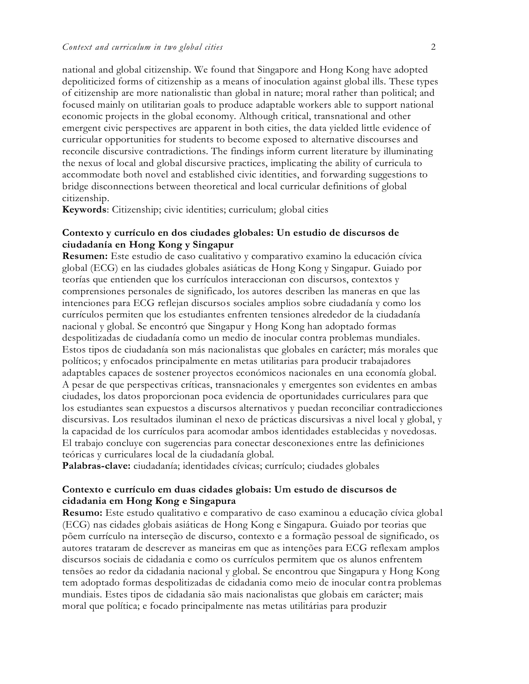national and global citizenship. We found that Singapore and Hong Kong have adopted depoliticized forms of citizenship as a means of inoculation against global ills. These types of citizenship are more nationalistic than global in nature; moral rather than political; and focused mainly on utilitarian goals to produce adaptable workers able to support national economic projects in the global economy. Although critical, transnational and other emergent civic perspectives are apparent in both cities, the data yielded little evidence of curricular opportunities for students to become exposed to alternative discourses and reconcile discursive contradictions. The findings inform current literature by illuminating the nexus of local and global discursive practices, implicating the ability of curricula to accommodate both novel and established civic identities, and forwarding suggestions to bridge disconnections between theoretical and local curricular definitions of global citizenship.

**Keywords**: Citizenship; civic identities; curriculum; global cities

## **Contexto y currículo en dos ciudades globales: Un estudio de discursos de ciudadanía en Hong Kong y Singapur**

**Resumen:** Este estudio de caso cualitativo y comparativo examino la educación cívica global (ECG) en las ciudades globales asiáticas de Hong Kong y Singapur. Guiado por teorías que entienden que los currículos interaccionan con discursos, contextos y comprensiones personales de significado, los autores describen las maneras en que las intenciones para ECG reflejan discursos sociales amplios sobre ciudadanía y como los currículos permiten que los estudiantes enfrenten tensiones alrededor de la ciudadanía nacional y global. Se encontró que Singapur y Hong Kong han adoptado formas despolitizadas de ciudadanía como un medio de inocular contra problemas mundiales. Estos tipos de ciudadanía son más nacionalistas que globales en carácter; más morales que políticos; y enfocados principalmente en metas utilitarias para producir trabajadores adaptables capaces de sostener proyectos económicos nacionales en una economía global. A pesar de que perspectivas críticas, transnacionales y emergentes son evidentes en ambas ciudades, los datos proporcionan poca evidencia de oportunidades curriculares para que los estudiantes sean expuestos a discursos alternativos y puedan reconciliar contradicciones discursivas. Los resultados iluminan el nexo de prácticas discursivas a nivel local y global, y la capacidad de los currículos para acomodar ambos identidades establecidas y novedosas. El trabajo concluye con sugerencias para conectar desconexiones entre las definiciones teóricas y curriculares local de la ciudadanía global.

**Palabras-clave:** ciudadanía; identidades cívicas; currículo; ciudades globales

## **Contexto e currículo em duas cidades globais: Um estudo de discursos de cidadania em Hong Kong e Singapura**

**Resumo:** Este estudo qualitativo e comparativo de caso examinou a educação cívica global (ECG) nas cidades globais asiáticas de Hong Kong e Singapura. Guiado por teorias que põem currículo na interseção de discurso, contexto e a formação pessoal de significado, os autores trataram de descrever as maneiras em que as intenções para ECG reflexam amplos discursos sociais de cidadania e como os currículos permitem que os alunos enfrentem tensões ao redor da cidadania nacional y global. Se encontrou que Singapura y Hong Kong tem adoptado formas despolitizadas de cidadania como meio de inocular contra problemas mundiais. Estes tipos de cidadania são mais nacionalistas que globais em carácter; mais moral que política; e focado principalmente nas metas utilitárias para produzir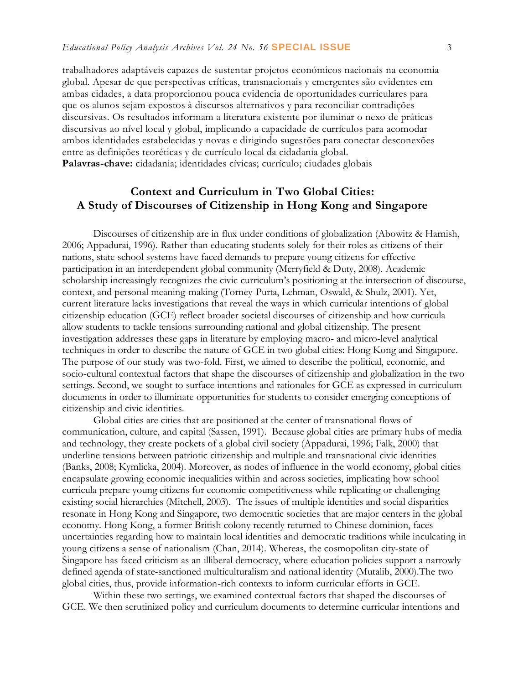trabalhadores adaptáveis capazes de sustentar projetos económicos nacionais na economia global. Apesar de que perspectivas críticas, transnacionais y emergentes são evidentes em ambas cidades, a data proporcionou pouca evidencia de oportunidades curriculares para que os alunos sejam expostos à discursos alternativos y para reconciliar contradições discursivas. Os resultados informam a literatura existente por iluminar o nexo de práticas discursivas ao nível local y global, implicando a capacidade de currículos para acomodar ambos identidades estabelecidas y novas e dirigindo sugestões para conectar desconexões entre as definições teoréticas y de currículo local da cidadania global. **Palavras-chave:** cidadania; identidades cívicas; currículo; ciudades globais

## **Context and Curriculum in Two Global Cities: A Study of Discourses of Citizenship in Hong Kong and Singapore**

Discourses of citizenship are in flux under conditions of globalization (Abowitz & Harnish, 2006; Appadurai, 1996). Rather than educating students solely for their roles as citizens of their nations, state school systems have faced demands to prepare young citizens for effective participation in an interdependent global community (Merryfield & Duty, 2008). Academic scholarship increasingly recognizes the civic curriculum's positioning at the intersection of discourse, context, and personal meaning-making (Torney-Purta, Lehman, Oswald, & Shulz, 2001). Yet, current literature lacks investigations that reveal the ways in which curricular intentions of global citizenship education (GCE) reflect broader societal discourses of citizenship and how curricula allow students to tackle tensions surrounding national and global citizenship. The present investigation addresses these gaps in literature by employing macro- and micro-level analytical techniques in order to describe the nature of GCE in two global cities: Hong Kong and Singapore. The purpose of our study was two-fold. First, we aimed to describe the political, economic, and socio-cultural contextual factors that shape the discourses of citizenship and globalization in the two settings. Second, we sought to surface intentions and rationales for GCE as expressed in curriculum documents in order to illuminate opportunities for students to consider emerging conceptions of citizenship and civic identities.

Global cities are cities that are positioned at the center of transnational flows of communication, culture, and capital (Sassen, 1991). Because global cities are primary hubs of media and technology, they create pockets of a global civil society (Appadurai, 1996; Falk, 2000) that underline tensions between patriotic citizenship and multiple and transnational civic identities (Banks, 2008; Kymlicka, 2004). Moreover, as nodes of influence in the world economy, global cities encapsulate growing economic inequalities within and across societies, implicating how school curricula prepare young citizens for economic competitiveness while replicating or challenging existing social hierarchies (Mitchell, 2003). The issues of multiple identities and social disparities resonate in Hong Kong and Singapore, two democratic societies that are major centers in the global economy. Hong Kong, a former British colony recently returned to Chinese dominion, faces uncertainties regarding how to maintain local identities and democratic traditions while inculcating in young citizens a sense of nationalism (Chan, 2014). Whereas, the cosmopolitan city-state of Singapore has faced criticism as an illiberal democracy, where education policies support a narrowly defined agenda of state-sanctioned multiculturalism and national identity (Mutalib, 2000).The two global cities, thus, provide information-rich contexts to inform curricular efforts in GCE.

Within these two settings, we examined contextual factors that shaped the discourses of GCE. We then scrutinized policy and curriculum documents to determine curricular intentions and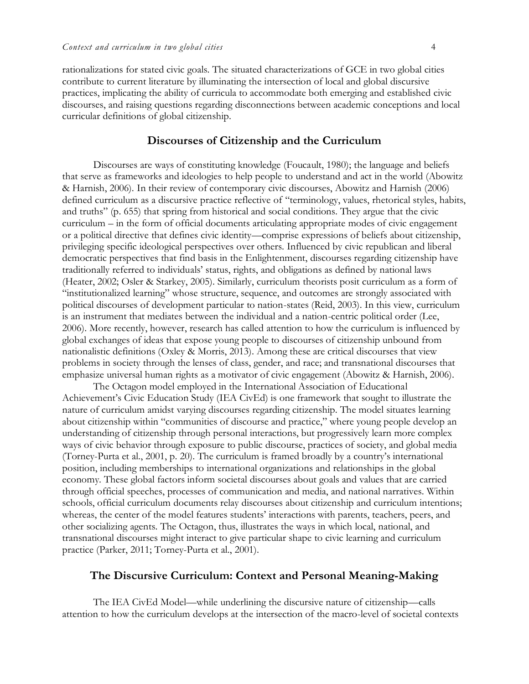rationalizations for stated civic goals. The situated characterizations of GCE in two global cities contribute to current literature by illuminating the intersection of local and global discursive practices, implicating the ability of curricula to accommodate both emerging and established civic discourses, and raising questions regarding disconnections between academic conceptions and local curricular definitions of global citizenship.

### **Discourses of Citizenship and the Curriculum**

Discourses are ways of constituting knowledge (Foucault, 1980); the language and beliefs that serve as frameworks and ideologies to help people to understand and act in the world (Abowitz & Harnish, 2006). In their review of contemporary civic discourses, Abowitz and Harnish (2006) defined curriculum as a discursive practice reflective of "terminology, values, rhetorical styles, habits, and truths" (p. 655) that spring from historical and social conditions. They argue that the civic curriculum – in the form of official documents articulating appropriate modes of civic engagement or a political directive that defines civic identity—comprise expressions of beliefs about citizenship, privileging specific ideological perspectives over others. Influenced by civic republican and liberal democratic perspectives that find basis in the Enlightenment, discourses regarding citizenship have traditionally referred to individuals' status, rights, and obligations as defined by national laws (Heater, 2002; Osler & Starkey, 2005). Similarly, curriculum theorists posit curriculum as a form of "institutionalized learning" whose structure, sequence, and outcomes are strongly associated with political discourses of development particular to nation-states (Reid, 2003). In this view, curriculum is an instrument that mediates between the individual and a nation-centric political order (Lee, 2006). More recently, however, research has called attention to how the curriculum is influenced by global exchanges of ideas that expose young people to discourses of citizenship unbound from nationalistic definitions (Oxley & Morris, 2013). Among these are critical discourses that view problems in society through the lenses of class, gender, and race; and transnational discourses that emphasize universal human rights as a motivator of civic engagement (Abowitz & Harnish, 2006).

The Octagon model employed in the International Association of Educational Achievement's Civic Education Study (IEA CivEd) is one framework that sought to illustrate the nature of curriculum amidst varying discourses regarding citizenship. The model situates learning about citizenship within "communities of discourse and practice," where young people develop an understanding of citizenship through personal interactions, but progressively learn more complex ways of civic behavior through exposure to public discourse, practices of society, and global media (Torney-Purta et al., 2001, p. 20). The curriculum is framed broadly by a country's international position, including memberships to international organizations and relationships in the global economy. These global factors inform societal discourses about goals and values that are carried through official speeches, processes of communication and media, and national narratives. Within schools, official curriculum documents relay discourses about citizenship and curriculum intentions; whereas, the center of the model features students' interactions with parents, teachers, peers, and other socializing agents. The Octagon, thus, illustrates the ways in which local, national, and transnational discourses might interact to give particular shape to civic learning and curriculum practice (Parker, 2011; Torney-Purta et al., 2001).

## **The Discursive Curriculum: Context and Personal Meaning-Making**

The IEA CivEd Model—while underlining the discursive nature of citizenship—calls attention to how the curriculum develops at the intersection of the macro-level of societal contexts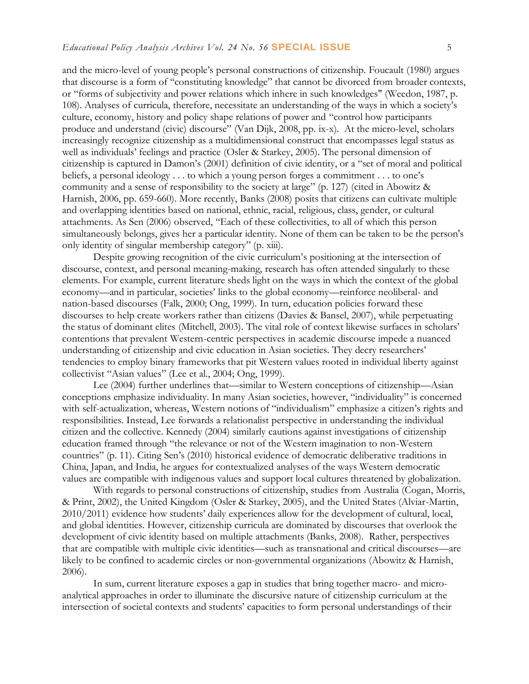and the micro-level of young people's personal constructions of citizenship. Foucault (1980) argues that discourse is a form of "constituting knowledge" that cannot be divorced from broader contexts, or "forms of subjectivity and power relations which inhere in such knowledges" (Weedon, 1987, p. 108). Analyses of curricula, therefore, necessitate an understanding of the ways in which a society's culture, economy, history and policy shape relations of power and "control how participants produce and understand (civic) discourse" (Van Dijk, 2008, pp. ix-x). At the micro-level, scholars increasingly recognize citizenship as a multidimensional construct that encompasses legal status as well as individuals' feelings and practice (Osler & Starkey, 2005). The personal dimension of citizenship is captured in Damon's (2001) definition of civic identity, or a "set of moral and political beliefs, a personal ideology . . . to which a young person forges a commitment . . . to one's community and a sense of responsibility to the society at large" (p. 127) (cited in Abowitz & Harnish, 2006, pp. 659-660). More recently, Banks (2008) posits that citizens can cultivate multiple and overlapping identities based on national, ethnic, racial, religious, class, gender, or cultural attachments. As Sen (2006) observed, "Each of these collectivities, to all of which this person simultaneously belongs, gives her a particular identity. None of them can be taken to be the person's only identity of singular membership category" (p. xiii).

Despite growing recognition of the civic curriculum's positioning at the intersection of discourse, context, and personal meaning-making, research has often attended singularly to these elements. For example, current literature sheds light on the ways in which the context of the global economy—and in particular, societies' links to the global economy—reinforce neoliberal- and nation-based discourses (Falk, 2000; Ong, 1999). In turn, education policies forward these discourses to help create workers rather than citizens (Davies & Bansel, 2007), while perpetuating the status of dominant elites (Mitchell, 2003). The vital role of context likewise surfaces in scholars' contentions that prevalent Western-centric perspectives in academic discourse impede a nuanced understanding of citizenship and civic education in Asian societies. They decry researchers' tendencies to employ binary frameworks that pit Western values rooted in individual liberty against collectivist "Asian values" (Lee et al., 2004; Ong, 1999).

Lee (2004) further underlines that—similar to Western conceptions of citizenship—Asian conceptions emphasize individuality. In many Asian societies, however, "individuality" is concerned with self-actualization, whereas, Western notions of "individualism" emphasize a citizen's rights and responsibilities. Instead, Lee forwards a relationalist perspective in understanding the individual citizen and the collective. Kennedy (2004) similarly cautions against investigations of citizenship education framed through "the relevance or not of the Western imagination to non-Western countries" (p. 11). Citing Sen's (2010) historical evidence of democratic deliberative traditions in China, Japan, and India, he argues for contextualized analyses of the ways Western democratic values are compatible with indigenous values and support local cultures threatened by globalization.

With regards to personal constructions of citizenship, studies from Australia (Cogan, Morris, & Print, 2002), the United Kingdom (Osler & Starkey, 2005), and the United States (Alviar-Martin, 2010/2011) evidence how students' daily experiences allow for the development of cultural, local, and global identities. However, citizenship curricula are dominated by discourses that overlook the development of civic identity based on multiple attachments (Banks, 2008). Rather, perspectives that are compatible with multiple civic identities—such as transnational and critical discourses—are likely to be confined to academic circles or non-governmental organizations (Abowitz & Harnish, 2006).

In sum, current literature exposes a gap in studies that bring together macro- and microanalytical approaches in order to illuminate the discursive nature of citizenship curriculum at the intersection of societal contexts and students' capacities to form personal understandings of their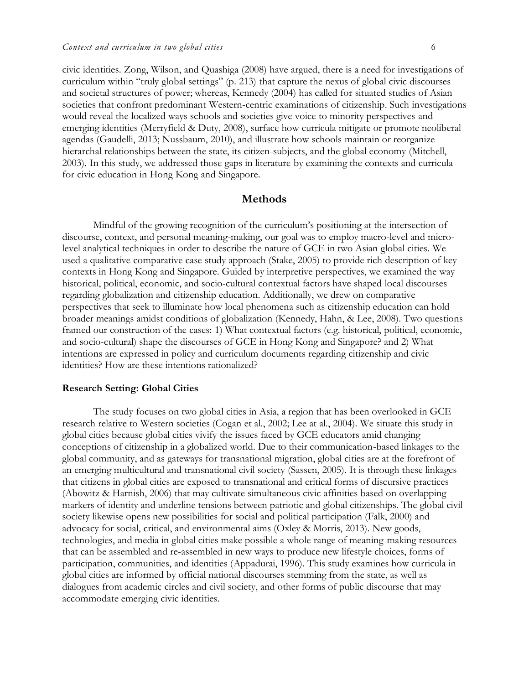civic identities. Zong, Wilson, and Quashiga (2008) have argued, there is a need for investigations of curriculum within "truly global settings" (p. 213) that capture the nexus of global civic discourses and societal structures of power; whereas, Kennedy (2004) has called for situated studies of Asian societies that confront predominant Western-centric examinations of citizenship. Such investigations would reveal the localized ways schools and societies give voice to minority perspectives and emerging identities (Merryfield & Duty, 2008), surface how curricula mitigate or promote neoliberal agendas (Gaudelli, 2013; Nussbaum, 2010), and illustrate how schools maintain or reorganize hierarchal relationships between the state, its citizen-subjects, and the global economy (Mitchell, 2003). In this study, we addressed those gaps in literature by examining the contexts and curricula for civic education in Hong Kong and Singapore.

## **Methods**

Mindful of the growing recognition of the curriculum's positioning at the intersection of discourse, context, and personal meaning-making, our goal was to employ macro-level and microlevel analytical techniques in order to describe the nature of GCE in two Asian global cities. We used a qualitative comparative case study approach (Stake, 2005) to provide rich description of key contexts in Hong Kong and Singapore. Guided by interpretive perspectives, we examined the way historical, political, economic, and socio-cultural contextual factors have shaped local discourses regarding globalization and citizenship education. Additionally, we drew on comparative perspectives that seek to illuminate how local phenomena such as citizenship education can hold broader meanings amidst conditions of globalization (Kennedy, Hahn, & Lee, 2008). Two questions framed our construction of the cases: 1) What contextual factors (e.g. historical, political, economic, and socio-cultural) shape the discourses of GCE in Hong Kong and Singapore? and 2) What intentions are expressed in policy and curriculum documents regarding citizenship and civic identities? How are these intentions rationalized?

#### **Research Setting: Global Cities**

The study focuses on two global cities in Asia, a region that has been overlooked in GCE research relative to Western societies (Cogan et al., 2002; Lee at al., 2004). We situate this study in global cities because global cities vivify the issues faced by GCE educators amid changing conceptions of citizenship in a globalized world. Due to their communication-based linkages to the global community, and as gateways for transnational migration, global cities are at the forefront of an emerging multicultural and transnational civil society (Sassen, 2005). It is through these linkages that citizens in global cities are exposed to transnational and critical forms of discursive practices (Abowitz & Harnish, 2006) that may cultivate simultaneous civic affinities based on overlapping markers of identity and underline tensions between patriotic and global citizenships. The global civil society likewise opens new possibilities for social and political participation (Falk, 2000) and advocacy for social, critical, and environmental aims (Oxley & Morris, 2013). New goods, technologies, and media in global cities make possible a whole range of meaning-making resources that can be assembled and re-assembled in new ways to produce new lifestyle choices, forms of participation, communities, and identities (Appadurai, 1996). This study examines how curricula in global cities are informed by official national discourses stemming from the state, as well as dialogues from academic circles and civil society, and other forms of public discourse that may accommodate emerging civic identities.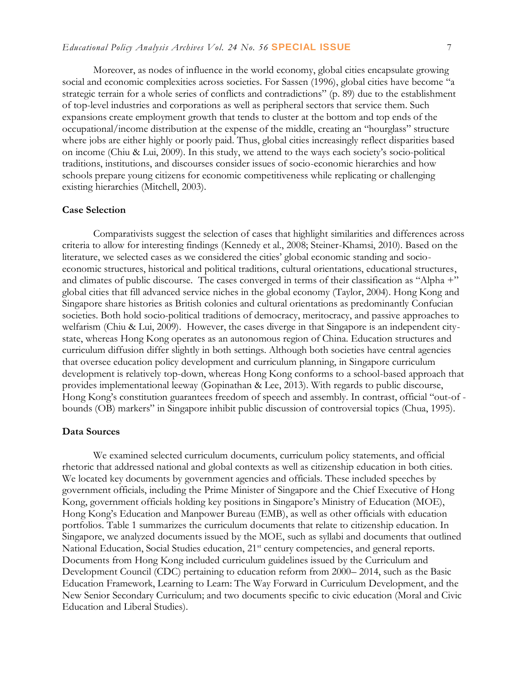Moreover, as nodes of influence in the world economy, global cities encapsulate growing social and economic complexities across societies. For Sassen (1996), global cities have become "a strategic terrain for a whole series of conflicts and contradictions" (p. 89) due to the establishment of top-level industries and corporations as well as peripheral sectors that service them. Such expansions create employment growth that tends to cluster at the bottom and top ends of the occupational/income distribution at the expense of the middle, creating an "hourglass" structure where jobs are either highly or poorly paid. Thus, global cities increasingly reflect disparities based on income (Chiu & Lui, 2009). In this study, we attend to the ways each society's socio-political traditions, institutions, and discourses consider issues of socio-economic hierarchies and how schools prepare young citizens for economic competitiveness while replicating or challenging existing hierarchies (Mitchell, 2003).

#### **Case Selection**

Comparativists suggest the selection of cases that highlight similarities and differences across criteria to allow for interesting findings (Kennedy et al., 2008; Steiner-Khamsi, 2010). Based on the literature, we selected cases as we considered the cities' global economic standing and socioeconomic structures, historical and political traditions, cultural orientations, educational structures, and climates of public discourse. The cases converged in terms of their classification as "Alpha +" global cities that fill advanced service niches in the global economy (Taylor, 2004). Hong Kong and Singapore share histories as British colonies and cultural orientations as predominantly Confucian societies. Both hold socio-political traditions of democracy, meritocracy, and passive approaches to welfarism (Chiu & Lui, 2009). However, the cases diverge in that Singapore is an independent citystate, whereas Hong Kong operates as an autonomous region of China. Education structures and curriculum diffusion differ slightly in both settings. Although both societies have central agencies that oversee education policy development and curriculum planning, in Singapore curriculum development is relatively top-down, whereas Hong Kong conforms to a school-based approach that provides implementational leeway (Gopinathan & Lee, 2013). With regards to public discourse, Hong Kong's constitution guarantees freedom of speech and assembly. In contrast, official "out-of bounds (OB) markers" in Singapore inhibit public discussion of controversial topics (Chua, 1995).

#### **Data Sources**

We examined selected curriculum documents, curriculum policy statements, and official rhetoric that addressed national and global contexts as well as citizenship education in both cities. We located key documents by government agencies and officials. These included speeches by government officials, including the Prime Minister of Singapore and the Chief Executive of Hong Kong, government officials holding key positions in Singapore's Ministry of Education (MOE), Hong Kong's Education and Manpower Bureau (EMB), as well as other officials with education portfolios. Table 1 summarizes the curriculum documents that relate to citizenship education. In Singapore, we analyzed documents issued by the MOE, such as syllabi and documents that outlined National Education, Social Studies education, 21<sup>st</sup> century competencies, and general reports. Documents from Hong Kong included curriculum guidelines issued by the Curriculum and Development Council (CDC) pertaining to education reform from 2000– 2014, such as the Basic Education Framework, Learning to Learn: The Way Forward in Curriculum Development, and the New Senior Secondary Curriculum; and two documents specific to civic education (Moral and Civic Education and Liberal Studies).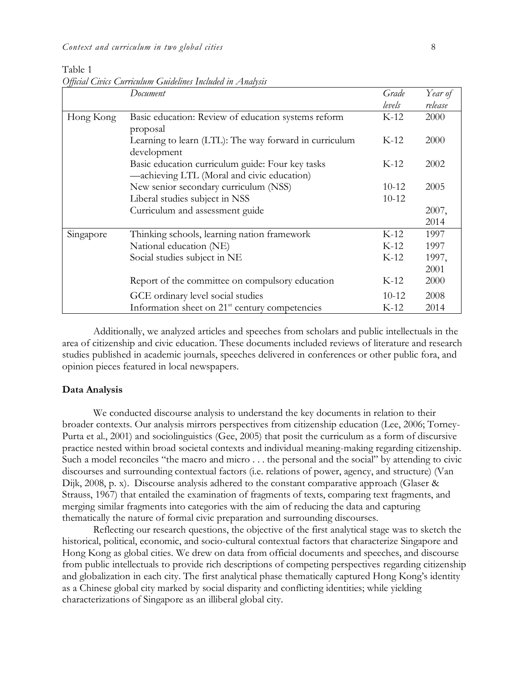Table 1 *Official Civics Curriculum Guidelines Included in Analysis*

|           | Document                                                   | Grade     | Year of |
|-----------|------------------------------------------------------------|-----------|---------|
|           |                                                            | levels    | release |
| Hong Kong | Basic education: Review of education systems reform        | $K-12$    | 2000    |
|           | proposal                                                   |           |         |
|           | Learning to learn (LTL): The way forward in curriculum     | $K-12$    | 2000    |
|           | development                                                |           |         |
|           | Basic education curriculum guide: Four key tasks           | K-12      | 2002    |
|           | -achieving LTL (Moral and civic education)                 |           |         |
|           | New senior secondary curriculum (NSS)                      | $10-12$   | 2005    |
|           | Liberal studies subject in NSS                             | $10 - 12$ |         |
|           | Curriculum and assessment guide                            |           | 2007,   |
|           |                                                            |           | 2014    |
| Singapore | Thinking schools, learning nation framework                | $K-12$    | 1997    |
|           | National education (NE)                                    | $K-12$    | 1997    |
|           | Social studies subject in NE                               | $K-12$    | 1997,   |
|           |                                                            |           | 2001    |
|           | Report of the committee on compulsory education            | $K-12$    | 2000    |
|           | GCE ordinary level social studies                          | $10-12$   | 2008    |
|           | Information sheet on 21 <sup>st</sup> century competencies | $K-12$    | 2014    |

Additionally, we analyzed articles and speeches from scholars and public intellectuals in the area of citizenship and civic education. These documents included reviews of literature and research studies published in academic journals, speeches delivered in conferences or other public fora, and opinion pieces featured in local newspapers.

#### **Data Analysis**

We conducted discourse analysis to understand the key documents in relation to their broader contexts. Our analysis mirrors perspectives from citizenship education (Lee, 2006; Torney-Purta et al., 2001) and sociolinguistics (Gee, 2005) that posit the curriculum as a form of discursive practice nested within broad societal contexts and individual meaning-making regarding citizenship. Such a model reconciles "the macro and micro . . . the personal and the social" by attending to civic discourses and surrounding contextual factors (i.e. relations of power, agency, and structure) (Van Dijk, 2008, p. x). Discourse analysis adhered to the constant comparative approach (Glaser & Strauss, 1967) that entailed the examination of fragments of texts, comparing text fragments, and merging similar fragments into categories with the aim of reducing the data and capturing thematically the nature of formal civic preparation and surrounding discourses.

Reflecting our research questions, the objective of the first analytical stage was to sketch the historical, political, economic, and socio-cultural contextual factors that characterize Singapore and Hong Kong as global cities. We drew on data from official documents and speeches, and discourse from public intellectuals to provide rich descriptions of competing perspectives regarding citizenship and globalization in each city. The first analytical phase thematically captured Hong Kong's identity as a Chinese global city marked by social disparity and conflicting identities; while yielding characterizations of Singapore as an illiberal global city.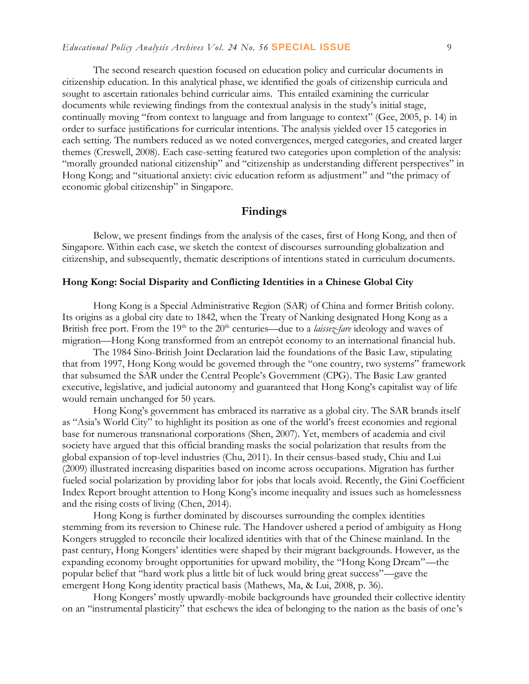The second research question focused on education policy and curricular documents in citizenship education. In this analytical phase, we identified the goals of citizenship curricula and sought to ascertain rationales behind curricular aims. This entailed examining the curricular documents while reviewing findings from the contextual analysis in the study's initial stage, continually moving "from context to language and from language to context" (Gee, 2005, p. 14) in order to surface justifications for curricular intentions. The analysis yielded over 15 categories in each setting. The numbers reduced as we noted convergences, merged categories, and created larger themes (Creswell, 2008). Each case-setting featured two categories upon completion of the analysis: "morally grounded national citizenship" and "citizenship as understanding different perspectives" in Hong Kong; and "situational anxiety: civic education reform as adjustment" and "the primacy of economic global citizenship" in Singapore.

### **Findings**

Below, we present findings from the analysis of the cases, first of Hong Kong, and then of Singapore. Within each case, we sketch the context of discourses surrounding globalization and citizenship, and subsequently, thematic descriptions of intentions stated in curriculum documents.

#### **Hong Kong: Social Disparity and Conflicting Identities in a Chinese Global City**

Hong Kong is a Special Administrative Region (SAR) of China and former British colony. Its origins as a global city date to 1842, when the Treaty of Nanking designated Hong Kong as a British free port. From the 19<sup>th</sup> to the 20<sup>th</sup> centuries—due to a *laissez-fare* ideology and waves of migration—Hong Kong transformed from an entrepôt economy to an international financial hub.

The 1984 Sino-British Joint Declaration laid the foundations of the Basic Law, stipulating that from 1997, Hong Kong would be governed through the "one country, two systems" framework that subsumed the SAR under the Central People's Government (CPG). The Basic Law granted executive, legislative, and judicial autonomy and guaranteed that Hong Kong's capitalist way of life would remain unchanged for 50 years.

Hong Kong's government has embraced its narrative as a global city. The SAR brands itself as "Asia's World City" to highlight its position as one of the world's freest economies and regional base for numerous transnational corporations (Shen, 2007). Yet, members of academia and civil society have argued that this official branding masks the social polarization that results from the global expansion of top-level industries (Chu, 2011). In their census-based study, Chiu and Lui (2009) illustrated increasing disparities based on income across occupations. Migration has further fueled social polarization by providing labor for jobs that locals avoid. Recently, the Gini Coefficient Index Report brought attention to Hong Kong's income inequality and issues such as homelessness and the rising costs of living (Chen, 2014).

Hong Kong is further dominated by discourses surrounding the complex identities stemming from its reversion to Chinese rule. The Handover ushered a period of ambiguity as Hong Kongers struggled to reconcile their localized identities with that of the Chinese mainland. In the past century, Hong Kongers' identities were shaped by their migrant backgrounds. However, as the expanding economy brought opportunities for upward mobility, the "Hong Kong Dream"—the popular belief that "hard work plus a little bit of luck would bring great success"—gave the emergent Hong Kong identity practical basis (Mathews, Ma, & Lui, 2008, p. 36).

Hong Kongers' mostly upwardly-mobile backgrounds have grounded their collective identity on an "instrumental plasticity" that eschews the idea of belonging to the nation as the basis of one's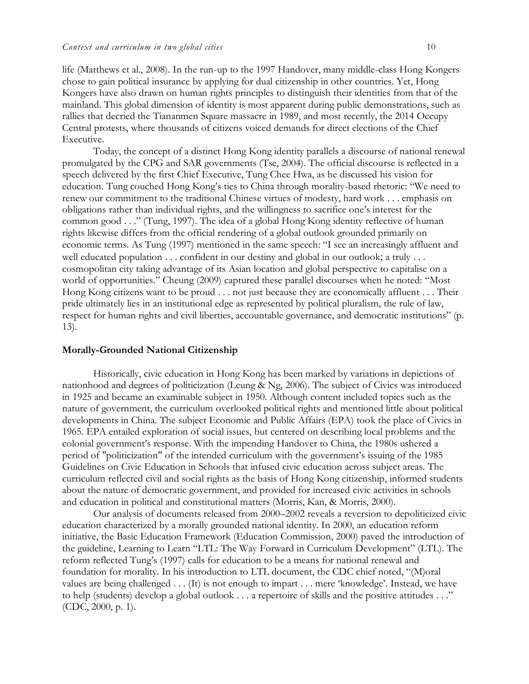life (Matthews et al., 2008). In the run-up to the 1997 Handover, many middle-class Hong Kongers chose to gain political insurance by applying for dual citizenship in other countries. Yet, Hong Kongers have also drawn on human rights principles to distinguish their identities from that of the mainland. This global dimension of identity is most apparent during public demonstrations, such as rallies that decried the Tiananmen Square massacre in 1989, and most recently, the 2014 Occupy Central protests, where thousands of citizens voiced demands for direct elections of the Chief Executive.

Today, the concept of a distinct Hong Kong identity parallels a discourse of national renewal promulgated by the CPG and SAR governments (Tse, 2004). The official discourse is reflected in a speech delivered by the first Chief Executive, Tung Chee Hwa, as he discussed his vision for education. Tung couched Hong Kong's ties to China through morality-based rhetoric: "We need to renew our commitment to the traditional Chinese virtues of modesty, hard work . . . emphasis on obligations rather than individual rights, and the willingness to sacrifice one's interest for the common good . . ." (Tung, 1997). The idea of a global Hong Kong identity reflective of human rights likewise differs from the official rendering of a global outlook grounded primarily on economic terms. As Tung (1997) mentioned in the same speech: "I see an increasingly affluent and well educated population . . . confident in our destiny and global in our outlook; a truly . . . cosmopolitan city taking advantage of its Asian location and global perspective to capitalise on a world of opportunities." Cheung (2009) captured these parallel discourses when he noted: "Most Hong Kong citizens want to be proud . . . not just because they are economically affluent . . . Their pride ultimately lies in an institutional edge as represented by political pluralism, the rule of law, respect for human rights and civil liberties, accountable governance, and democratic institutions" (p. 13).

#### **Morally-Grounded National Citizenship**

Historically, civic education in Hong Kong has been marked by variations in depictions of nationhood and degrees of politicization (Leung & Ng, 2006). The subject of Civics was introduced in 1925 and became an examinable subject in 1950. Although content included topics such as the nature of government, the curriculum overlooked political rights and mentioned little about political developments in China. The subject Economic and Public Affairs (EPA) took the place of Civics in 1965. EPA entailed exploration of social issues, but centered on describing local problems and the colonial government's response. With the impending Handover to China, the 1980s ushered a period of "politicization" of the intended curriculum with the government's issuing of the 1985 Guidelines on Civic Education in Schools that infused civic education across subject areas. The curriculum reflected civil and social rights as the basis of Hong Kong citizenship, informed students about the nature of democratic government, and provided for increased civic activities in schools and education in political and constitutional matters (Morris, Kan, & Morris, 2000).

Our analysis of documents released from 2000–2002 reveals a reversion to depoliticized civic education characterized by a morally grounded national identity. In 2000, an education reform initiative, the Basic Education Framework (Education Commission, 2000) paved the introduction of the guideline, Learning to Learn "LTL: The Way Forward in Curriculum Development" (LTL). The reform reflected Tung's (1997) calls for education to be a means for national renewal and foundation for morality. In his introduction to LTL document, the CDC chief noted, "(M)oral values are being challenged . . . (It) is not enough to impart . . . mere 'knowledge'. Instead, we have to help (students) develop a global outlook . . . a repertoire of skills and the positive attitudes . . ." (CDC, 2000, p. 1).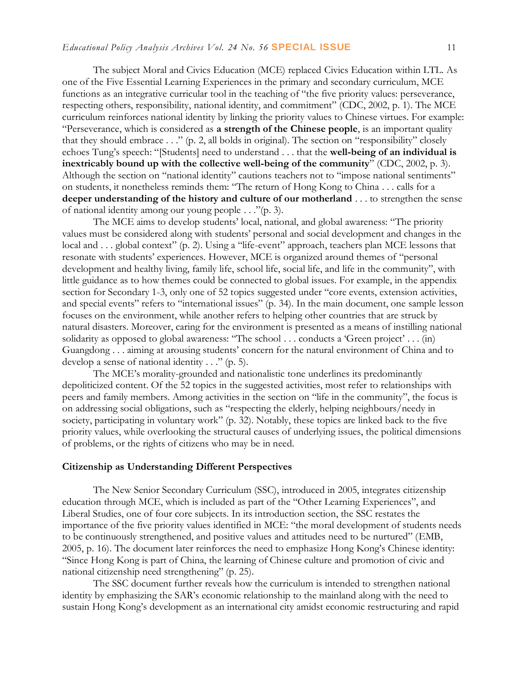The subject Moral and Civics Education (MCE) replaced Civics Education within LTL. As one of the Five Essential Learning Experiences in the primary and secondary curriculum, MCE functions as an integrative curricular tool in the teaching of "the five priority values: perseverance, respecting others, responsibility, national identity, and commitment" (CDC, 2002, p. 1). The MCE curriculum reinforces national identity by linking the priority values to Chinese virtues. For example: "Perseverance, which is considered as **a strength of the Chinese people**, is an important quality that they should embrace . . ." (p. 2, all bolds in original). The section on "responsibility" closely echoes Tung's speech: "[Students] need to understand . . . that the **well-being of an individual is inextricably bound up with the collective well-being of the community**" (CDC, 2002, p. 3). Although the section on "national identity" cautions teachers not to "impose national sentiments" on students, it nonetheless reminds them: "The return of Hong Kong to China . . . calls for a **deeper understanding of the history and culture of our motherland** . . . to strengthen the sense of national identity among our young people . . ."(p. 3).

The MCE aims to develop students' local, national, and global awareness: "The priority values must be considered along with students' personal and social development and changes in the local and . . . global context" (p. 2). Using a "life-event" approach, teachers plan MCE lessons that resonate with students' experiences. However, MCE is organized around themes of "personal development and healthy living, family life, school life, social life, and life in the community", with little guidance as to how themes could be connected to global issues. For example, in the appendix section for Secondary 1-3, only one of 52 topics suggested under "core events, extension activities, and special events" refers to "international issues" (p. 34). In the main document, one sample lesson focuses on the environment, while another refers to helping other countries that are struck by natural disasters. Moreover, caring for the environment is presented as a means of instilling national solidarity as opposed to global awareness: "The school . . . conducts a 'Green project' . . . (in) Guangdong . . . aiming at arousing students' concern for the natural environment of China and to develop a sense of national identity  $\ldots$  " (p. 5).

The MCE's morality-grounded and nationalistic tone underlines its predominantly depoliticized content. Of the 52 topics in the suggested activities, most refer to relationships with peers and family members. Among activities in the section on "life in the community", the focus is on addressing social obligations, such as "respecting the elderly, helping neighbours/needy in society, participating in voluntary work" (p. 32). Notably, these topics are linked back to the five priority values, while overlooking the structural causes of underlying issues, the political dimensions of problems, or the rights of citizens who may be in need.

#### **Citizenship as Understanding Different Perspectives**

The New Senior Secondary Curriculum (SSC), introduced in 2005, integrates citizenship education through MCE, which is included as part of the "Other Learning Experiences", and Liberal Studies, one of four core subjects. In its introduction section, the SSC restates the importance of the five priority values identified in MCE: "the moral development of students needs to be continuously strengthened, and positive values and attitudes need to be nurtured" (EMB, 2005, p. 16). The document later reinforces the need to emphasize Hong Kong's Chinese identity: "Since Hong Kong is part of China, the learning of Chinese culture and promotion of civic and national citizenship need strengthening" (p. 25).

The SSC document further reveals how the curriculum is intended to strengthen national identity by emphasizing the SAR's economic relationship to the mainland along with the need to sustain Hong Kong's development as an international city amidst economic restructuring and rapid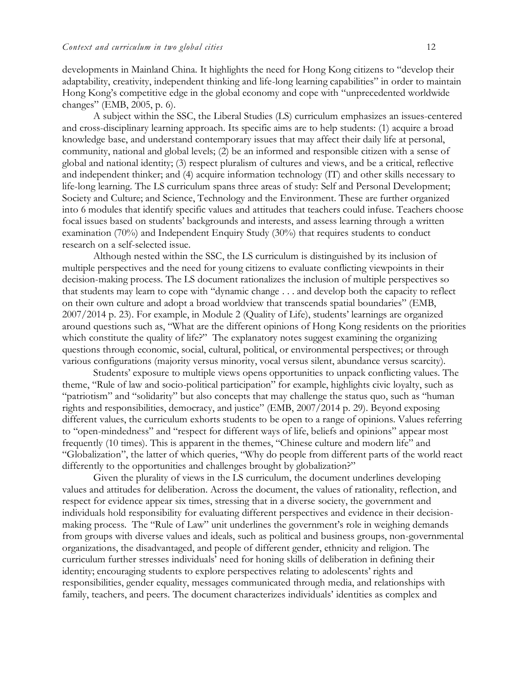developments in Mainland China. It highlights the need for Hong Kong citizens to "develop their adaptability, creativity, independent thinking and life-long learning capabilities" in order to maintain Hong Kong's competitive edge in the global economy and cope with "unprecedented worldwide changes" (EMB, 2005, p. 6).

A subject within the SSC, the Liberal Studies (LS) curriculum emphasizes an issues-centered and cross-disciplinary learning approach. Its specific aims are to help students: (1) acquire a broad knowledge base, and understand contemporary issues that may affect their daily life at personal, community, national and global levels; (2) be an informed and responsible citizen with a sense of global and national identity; (3) respect pluralism of cultures and views, and be a critical, reflective and independent thinker; and (4) acquire information technology (IT) and other skills necessary to life-long learning. The LS curriculum spans three areas of study: Self and Personal Development; Society and Culture; and Science, Technology and the Environment. These are further organized into 6 modules that identify specific values and attitudes that teachers could infuse. Teachers choose focal issues based on students' backgrounds and interests, and assess learning through a written examination (70%) and Independent Enquiry Study (30%) that requires students to conduct research on a self-selected issue.

Although nested within the SSC, the LS curriculum is distinguished by its inclusion of multiple perspectives and the need for young citizens to evaluate conflicting viewpoints in their decision-making process. The LS document rationalizes the inclusion of multiple perspectives so that students may learn to cope with "dynamic change . . . and develop both the capacity to reflect on their own culture and adopt a broad worldview that transcends spatial boundaries" (EMB, 2007/2014 p. 23). For example, in Module 2 (Quality of Life), students' learnings are organized around questions such as, "What are the different opinions of Hong Kong residents on the priorities which constitute the quality of life?" The explanatory notes suggest examining the organizing questions through economic, social, cultural, political, or environmental perspectives; or through various configurations (majority versus minority, vocal versus silent, abundance versus scarcity).

Students' exposure to multiple views opens opportunities to unpack conflicting values. The theme, "Rule of law and socio-political participation" for example, highlights civic loyalty, such as "patriotism" and "solidarity" but also concepts that may challenge the status quo, such as "human rights and responsibilities, democracy, and justice" (EMB, 2007/2014 p. 29). Beyond exposing different values, the curriculum exhorts students to be open to a range of opinions. Values referring to "open-mindedness" and "respect for different ways of life, beliefs and opinions" appear most frequently (10 times). This is apparent in the themes, "Chinese culture and modern life" and "Globalization", the latter of which queries, "Why do people from different parts of the world react differently to the opportunities and challenges brought by globalization?"

Given the plurality of views in the LS curriculum, the document underlines developing values and attitudes for deliberation. Across the document, the values of rationality, reflection, and respect for evidence appear six times, stressing that in a diverse society, the government and individuals hold responsibility for evaluating different perspectives and evidence in their decisionmaking process. The "Rule of Law" unit underlines the government's role in weighing demands from groups with diverse values and ideals, such as political and business groups, non-governmental organizations, the disadvantaged, and people of different gender, ethnicity and religion. The curriculum further stresses individuals' need for honing skills of deliberation in defining their identity; encouraging students to explore perspectives relating to adolescents' rights and responsibilities, gender equality, messages communicated through media, and relationships with family, teachers, and peers. The document characterizes individuals' identities as complex and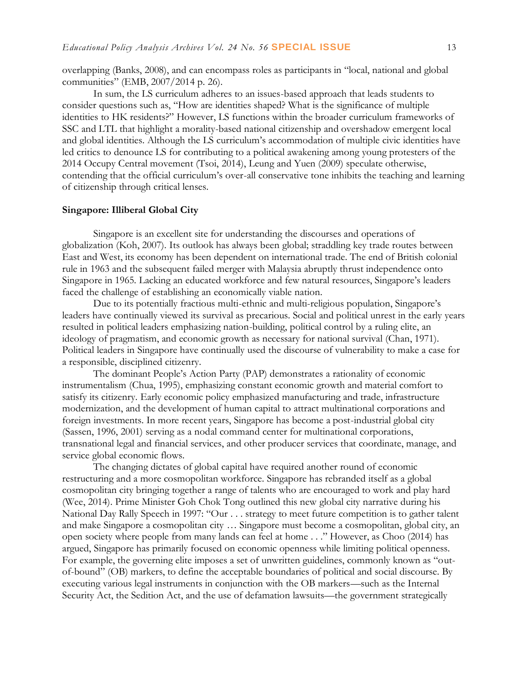overlapping (Banks, 2008), and can encompass roles as participants in "local, national and global communities" (EMB, 2007/2014 p. 26).

 In sum, the LS curriculum adheres to an issues-based approach that leads students to consider questions such as, "How are identities shaped? What is the significance of multiple identities to HK residents?" However, LS functions within the broader curriculum frameworks of SSC and LTL that highlight a morality-based national citizenship and overshadow emergent local and global identities. Although the LS curriculum's accommodation of multiple civic identities have led critics to denounce LS for contributing to a political awakening among young protesters of the 2014 Occupy Central movement (Tsoi, 2014), Leung and Yuen (2009) speculate otherwise, contending that the official curriculum's over-all conservative tone inhibits the teaching and learning of citizenship through critical lenses.

#### **Singapore: Illiberal Global City**

Singapore is an excellent site for understanding the discourses and operations of globalization (Koh, 2007). Its outlook has always been global; straddling key trade routes between East and West, its economy has been dependent on international trade. The end of British colonial rule in 1963 and the subsequent failed merger with Malaysia abruptly thrust independence onto Singapore in 1965. Lacking an educated workforce and few natural resources, Singapore's leaders faced the challenge of establishing an economically viable nation.

Due to its potentially fractious multi-ethnic and multi-religious population, Singapore's leaders have continually viewed its survival as precarious. Social and political unrest in the early years resulted in political leaders emphasizing nation-building, political control by a ruling elite, an ideology of pragmatism, and economic growth as necessary for national survival (Chan, 1971). Political leaders in Singapore have continually used the discourse of vulnerability to make a case for a responsible, disciplined citizenry.

The dominant People's Action Party (PAP) demonstrates a rationality of economic instrumentalism (Chua, 1995), emphasizing constant economic growth and material comfort to satisfy its citizenry. Early economic policy emphasized manufacturing and trade, infrastructure modernization, and the development of human capital to attract multinational corporations and foreign investments. In more recent years, Singapore has become a post-industrial global city (Sassen, 1996, 2001) serving as a nodal command center for multinational corporations, transnational legal and financial services, and other producer services that coordinate, manage, and service global economic flows.

The changing dictates of global capital have required another round of economic restructuring and a more cosmopolitan workforce. Singapore has rebranded itself as a global cosmopolitan city bringing together a range of talents who are encouraged to work and play hard (Wee, 2014). Prime Minister Goh Chok Tong outlined this new global city narrative during his National Day Rally Speech in 1997: "Our . . . strategy to meet future competition is to gather talent and make Singapore a cosmopolitan city … Singapore must become a cosmopolitan, global city, an open society where people from many lands can feel at home . . ." However, as Choo (2014) has argued, Singapore has primarily focused on economic openness while limiting political openness. For example, the governing elite imposes a set of unwritten guidelines, commonly known as "outof-bound" (OB) markers, to define the acceptable boundaries of political and social discourse. By executing various legal instruments in conjunction with the OB markers—such as the Internal Security Act, the Sedition Act, and the use of defamation lawsuits—the government strategically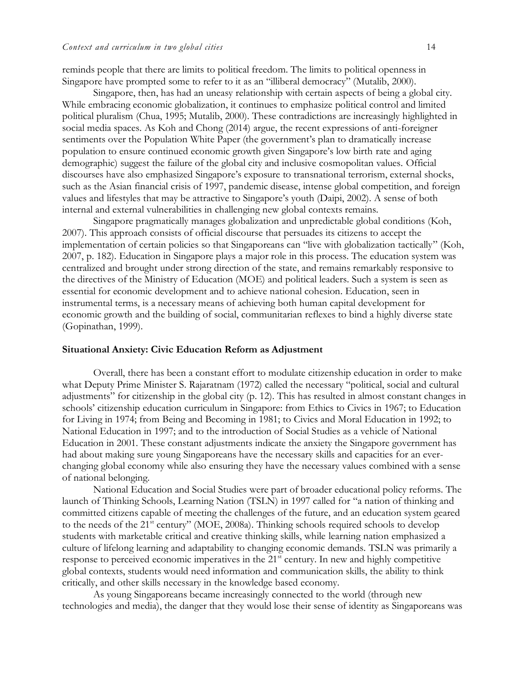reminds people that there are limits to political freedom. The limits to political openness in Singapore have prompted some to refer to it as an "illiberal democracy" (Mutalib, 2000).

Singapore, then, has had an uneasy relationship with certain aspects of being a global city. While embracing economic globalization, it continues to emphasize political control and limited political pluralism (Chua, 1995; Mutalib, 2000). These contradictions are increasingly highlighted in social media spaces. As Koh and Chong (2014) argue, the recent expressions of anti-foreigner sentiments over the Population White Paper (the government's plan to dramatically increase population to ensure continued economic growth given Singapore's low birth rate and aging demographic) suggest the failure of the global city and inclusive cosmopolitan values. Official discourses have also emphasized Singapore's exposure to transnational terrorism, external shocks, such as the Asian financial crisis of 1997, pandemic disease, intense global competition, and foreign values and lifestyles that may be attractive to Singapore's youth (Daipi, 2002). A sense of both internal and external vulnerabilities in challenging new global contexts remains.

Singapore pragmatically manages globalization and unpredictable global conditions (Koh, 2007). This approach consists of official discourse that persuades its citizens to accept the implementation of certain policies so that Singaporeans can "live with globalization tactically" (Koh, 2007, p. 182). Education in Singapore plays a major role in this process. The education system was centralized and brought under strong direction of the state, and remains remarkably responsive to the directives of the Ministry of Education (MOE) and political leaders. Such a system is seen as essential for economic development and to achieve national cohesion. Education, seen in instrumental terms, is a necessary means of achieving both human capital development for economic growth and the building of social, communitarian reflexes to bind a highly diverse state (Gopinathan, 1999).

#### **Situational Anxiety: Civic Education Reform as Adjustment**

Overall, there has been a constant effort to modulate citizenship education in order to make what Deputy Prime Minister S. Rajaratnam (1972) called the necessary "political, social and cultural adjustments" for citizenship in the global city (p. 12). This has resulted in almost constant changes in schools' citizenship education curriculum in Singapore: from Ethics to Civics in 1967; to Education for Living in 1974; from Being and Becoming in 1981; to Civics and Moral Education in 1992; to National Education in 1997; and to the introduction of Social Studies as a vehicle of National Education in 2001. These constant adjustments indicate the anxiety the Singapore government has had about making sure young Singaporeans have the necessary skills and capacities for an everchanging global economy while also ensuring they have the necessary values combined with a sense of national belonging.

National Education and Social Studies were part of broader educational policy reforms. The launch of Thinking Schools, Learning Nation (TSLN) in 1997 called for "a nation of thinking and committed citizens capable of meeting the challenges of the future, and an education system geared to the needs of the 21<sup>st</sup> century" (MOE, 2008a). Thinking schools required schools to develop students with marketable critical and creative thinking skills, while learning nation emphasized a culture of lifelong learning and adaptability to changing economic demands. TSLN was primarily a response to perceived economic imperatives in the 21<sup>st</sup> century. In new and highly competitive global contexts, students would need information and communication skills, the ability to think critically, and other skills necessary in the knowledge based economy.

As young Singaporeans became increasingly connected to the world (through new technologies and media), the danger that they would lose their sense of identity as Singaporeans was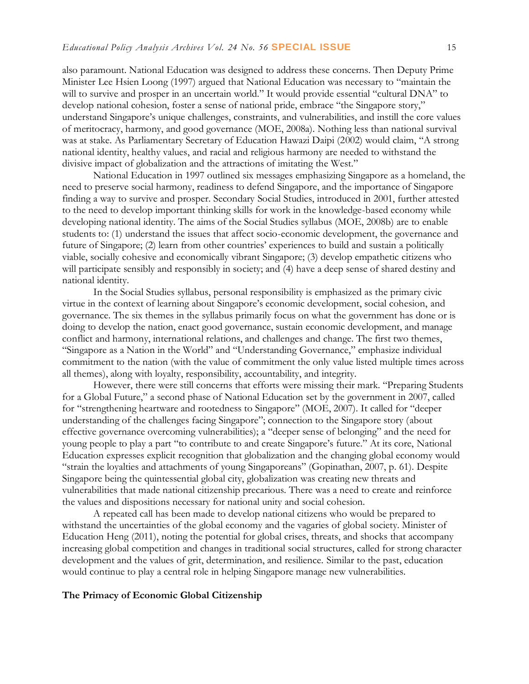also paramount. National Education was designed to address these concerns. Then Deputy Prime Minister Lee Hsien Loong (1997) argued that National Education was necessary to "maintain the will to survive and prosper in an uncertain world." It would provide essential "cultural DNA" to develop national cohesion, foster a sense of national pride, embrace "the Singapore story," understand Singapore's unique challenges, constraints, and vulnerabilities, and instill the core values of meritocracy, harmony, and good governance (MOE, 2008a). Nothing less than national survival was at stake. As Parliamentary Secretary of Education Hawazi Daipi (2002) would claim, "A strong national identity, healthy values, and racial and religious harmony are needed to withstand the divisive impact of globalization and the attractions of imitating the West."

National Education in 1997 outlined six messages emphasizing Singapore as a homeland, the need to preserve social harmony, readiness to defend Singapore, and the importance of Singapore finding a way to survive and prosper. Secondary Social Studies, introduced in 2001, further attested to the need to develop important thinking skills for work in the knowledge-based economy while developing national identity. The aims of the Social Studies syllabus (MOE, 2008b) are to enable students to: (1) understand the issues that affect socio-economic development, the governance and future of Singapore; (2) learn from other countries' experiences to build and sustain a politically viable, socially cohesive and economically vibrant Singapore; (3) develop empathetic citizens who will participate sensibly and responsibly in society; and (4) have a deep sense of shared destiny and national identity.

In the Social Studies syllabus, personal responsibility is emphasized as the primary civic virtue in the context of learning about Singapore's economic development, social cohesion, and governance. The six themes in the syllabus primarily focus on what the government has done or is doing to develop the nation, enact good governance, sustain economic development, and manage conflict and harmony, international relations, and challenges and change. The first two themes, "Singapore as a Nation in the World" and "Understanding Governance," emphasize individual commitment to the nation (with the value of commitment the only value listed multiple times across all themes), along with loyalty, responsibility, accountability, and integrity.

However, there were still concerns that efforts were missing their mark. "Preparing Students for a Global Future," a second phase of National Education set by the government in 2007, called for "strengthening heartware and rootedness to Singapore" (MOE, 2007). It called for "deeper understanding of the challenges facing Singapore"; connection to the Singapore story (about effective governance overcoming vulnerabilities); a "deeper sense of belonging" and the need for young people to play a part "to contribute to and create Singapore's future." At its core, National Education expresses explicit recognition that globalization and the changing global economy would "strain the loyalties and attachments of young Singaporeans" (Gopinathan, 2007, p. 61). Despite Singapore being the quintessential global city, globalization was creating new threats and vulnerabilities that made national citizenship precarious. There was a need to create and reinforce the values and dispositions necessary for national unity and social cohesion.

A repeated call has been made to develop national citizens who would be prepared to withstand the uncertainties of the global economy and the vagaries of global society. Minister of Education Heng (2011), noting the potential for global crises, threats, and shocks that accompany increasing global competition and changes in traditional social structures, called for strong character development and the values of grit, determination, and resilience. Similar to the past, education would continue to play a central role in helping Singapore manage new vulnerabilities.

#### **The Primacy of Economic Global Citizenship**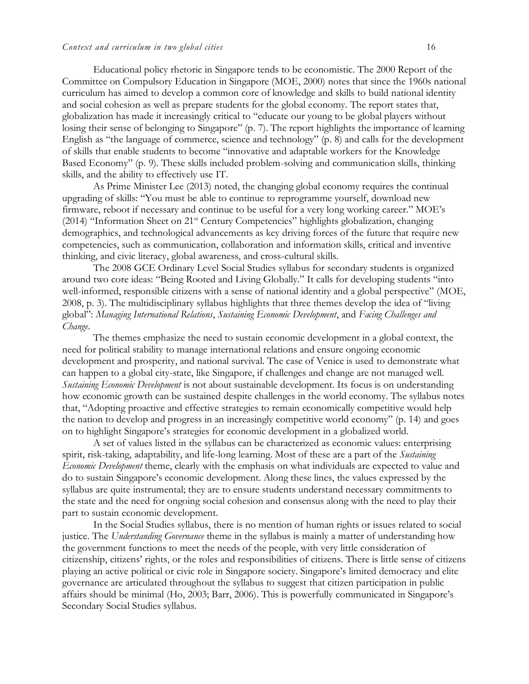Educational policy rhetoric in Singapore tends to be economistic. The 2000 Report of the Committee on Compulsory Education in Singapore (MOE, 2000) notes that since the 1960s national curriculum has aimed to develop a common core of knowledge and skills to build national identity and social cohesion as well as prepare students for the global economy. The report states that, globalization has made it increasingly critical to "educate our young to be global players without losing their sense of belonging to Singapore" (p. 7). The report highlights the importance of learning English as "the language of commerce, science and technology" (p. 8) and calls for the development of skills that enable students to become "innovative and adaptable workers for the Knowledge Based Economy" (p. 9). These skills included problem-solving and communication skills, thinking skills, and the ability to effectively use IT.

As Prime Minister Lee (2013) noted, the changing global economy requires the continual upgrading of skills: "You must be able to continue to reprogramme yourself, download new firmware, reboot if necessary and continue to be useful for a very long working career." MOE's (2014) "Information Sheet on 21st Century Competencies" highlights globalization, changing demographics, and technological advancements as key driving forces of the future that require new competencies, such as communication, collaboration and information skills, critical and inventive thinking, and civic literacy, global awareness, and cross-cultural skills.

The 2008 GCE Ordinary Level Social Studies syllabus for secondary students is organized around two core ideas: "Being Rooted and Living Globally." It calls for developing students "into well-informed, responsible citizens with a sense of national identity and a global perspective" (MOE, 2008, p. 3). The multidisciplinary syllabus highlights that three themes develop the idea of "living global": *Managing International Relations*, *Sustaining Economic Development*, and *Facing Challenges and Change*.

The themes emphasize the need to sustain economic development in a global context, the need for political stability to manage international relations and ensure ongoing economic development and prosperity, and national survival. The case of Venice is used to demonstrate what can happen to a global city-state, like Singapore, if challenges and change are not managed well. *Sustaining Economic Development* is not about sustainable development. Its focus is on understanding how economic growth can be sustained despite challenges in the world economy. The syllabus notes that, "Adopting proactive and effective strategies to remain economically competitive would help the nation to develop and progress in an increasingly competitive world economy" (p. 14) and goes on to highlight Singapore's strategies for economic development in a globalized world.

A set of values listed in the syllabus can be characterized as economic values: enterprising spirit, risk-taking, adaptability, and life-long learning. Most of these are a part of the *Sustaining Economic Development* theme, clearly with the emphasis on what individuals are expected to value and do to sustain Singapore's economic development. Along these lines, the values expressed by the syllabus are quite instrumental; they are to ensure students understand necessary commitments to the state and the need for ongoing social cohesion and consensus along with the need to play their part to sustain economic development.

In the Social Studies syllabus, there is no mention of human rights or issues related to social justice. The *Understanding Governance* theme in the syllabus is mainly a matter of understanding how the government functions to meet the needs of the people, with very little consideration of citizenship, citizens' rights, or the roles and responsibilities of citizens. There is little sense of citizens playing an active political or civic role in Singapore society. Singapore's limited democracy and elite governance are articulated throughout the syllabus to suggest that citizen participation in public affairs should be minimal (Ho, 2003; Barr, 2006). This is powerfully communicated in Singapore's Secondary Social Studies syllabus.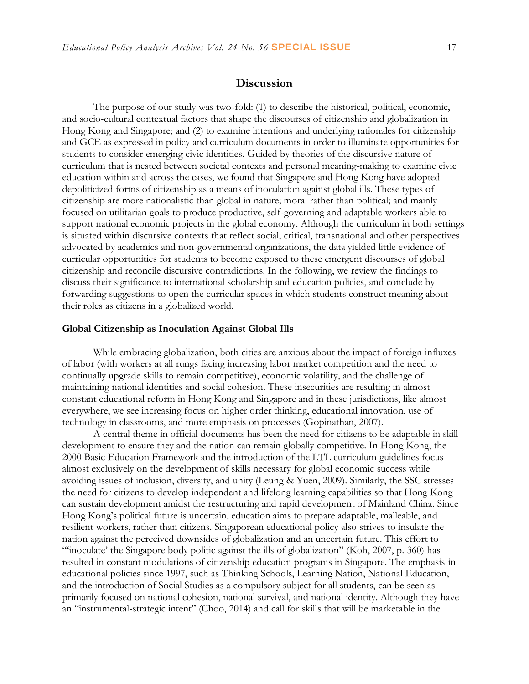## **Discussion**

The purpose of our study was two-fold: (1) to describe the historical, political, economic, and socio-cultural contextual factors that shape the discourses of citizenship and globalization in Hong Kong and Singapore; and (2) to examine intentions and underlying rationales for citizenship and GCE as expressed in policy and curriculum documents in order to illuminate opportunities for students to consider emerging civic identities. Guided by theories of the discursive nature of curriculum that is nested between societal contexts and personal meaning-making to examine civic education within and across the cases, we found that Singapore and Hong Kong have adopted depoliticized forms of citizenship as a means of inoculation against global ills. These types of citizenship are more nationalistic than global in nature; moral rather than political; and mainly focused on utilitarian goals to produce productive, self-governing and adaptable workers able to support national economic projects in the global economy. Although the curriculum in both settings is situated within discursive contexts that reflect social, critical, transnational and other perspectives advocated by academics and non-governmental organizations, the data yielded little evidence of curricular opportunities for students to become exposed to these emergent discourses of global citizenship and reconcile discursive contradictions. In the following, we review the findings to discuss their significance to international scholarship and education policies, and conclude by forwarding suggestions to open the curricular spaces in which students construct meaning about their roles as citizens in a globalized world.

#### **Global Citizenship as Inoculation Against Global Ills**

While embracing globalization, both cities are anxious about the impact of foreign influxes of labor (with workers at all rungs facing increasing labor market competition and the need to continually upgrade skills to remain competitive), economic volatility, and the challenge of maintaining national identities and social cohesion. These insecurities are resulting in almost constant educational reform in Hong Kong and Singapore and in these jurisdictions, like almost everywhere, we see increasing focus on higher order thinking, educational innovation, use of technology in classrooms, and more emphasis on processes (Gopinathan, 2007).

A central theme in official documents has been the need for citizens to be adaptable in skill development to ensure they and the nation can remain globally competitive. In Hong Kong, the 2000 Basic Education Framework and the introduction of the LTL curriculum guidelines focus almost exclusively on the development of skills necessary for global economic success while avoiding issues of inclusion, diversity, and unity (Leung & Yuen, 2009). Similarly, the SSC stresses the need for citizens to develop independent and lifelong learning capabilities so that Hong Kong can sustain development amidst the restructuring and rapid development of Mainland China. Since Hong Kong's political future is uncertain, education aims to prepare adaptable, malleable, and resilient workers, rather than citizens. Singaporean educational policy also strives to insulate the nation against the perceived downsides of globalization and an uncertain future. This effort to "'inoculate' the Singapore body politic against the ills of globalization" (Koh, 2007, p. 360) has resulted in constant modulations of citizenship education programs in Singapore. The emphasis in educational policies since 1997, such as Thinking Schools, Learning Nation, National Education, and the introduction of Social Studies as a compulsory subject for all students, can be seen as primarily focused on national cohesion, national survival, and national identity. Although they have an "instrumental-strategic intent" (Choo, 2014) and call for skills that will be marketable in the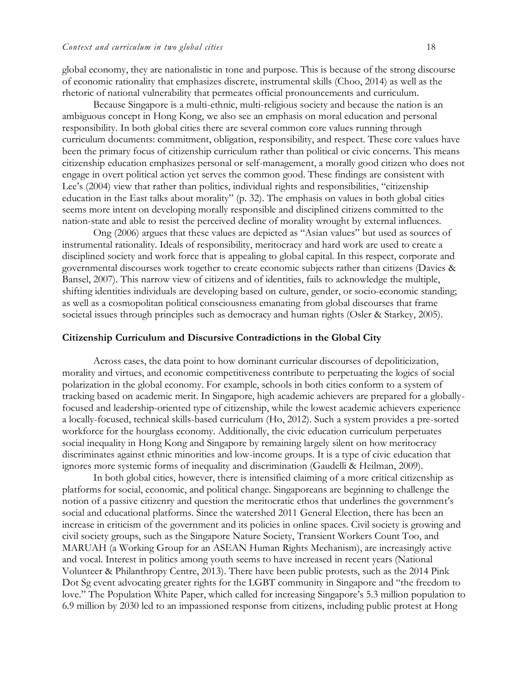global economy, they are nationalistic in tone and purpose. This is because of the strong discourse of economic rationality that emphasizes discrete, instrumental skills (Choo, 2014) as well as the rhetoric of national vulnerability that permeates official pronouncements and curriculum.

Because Singapore is a multi-ethnic, multi-religious society and because the nation is an ambiguous concept in Hong Kong, we also see an emphasis on moral education and personal responsibility. In both global cities there are several common core values running through curriculum documents: commitment, obligation, responsibility, and respect. These core values have been the primary focus of citizenship curriculum rather than political or civic concerns. This means citizenship education emphasizes personal or self-management, a morally good citizen who does not engage in overt political action yet serves the common good. These findings are consistent with Lee's (2004) view that rather than politics, individual rights and responsibilities, "citizenship education in the East talks about morality" (p. 32). The emphasis on values in both global cities seems more intent on developing morally responsible and disciplined citizens committed to the nation-state and able to resist the perceived decline of morality wrought by external influences.

Ong (2006) argues that these values are depicted as "Asian values" but used as sources of instrumental rationality. Ideals of responsibility, meritocracy and hard work are used to create a disciplined society and work force that is appealing to global capital. In this respect, corporate and governmental discourses work together to create economic subjects rather than citizens (Davies & Bansel, 2007). This narrow view of citizens and of identities, fails to acknowledge the multiple, shifting identities individuals are developing based on culture, gender, or socio-economic standing; as well as a cosmopolitan political consciousness emanating from global discourses that frame societal issues through principles such as democracy and human rights (Osler & Starkey, 2005).

#### **Citizenship Curriculum and Discursive Contradictions in the Global City**

Across cases, the data point to how dominant curricular discourses of depoliticization, morality and virtues, and economic competitiveness contribute to perpetuating the logics of social polarization in the global economy. For example, schools in both cities conform to a system of tracking based on academic merit. In Singapore, high academic achievers are prepared for a globallyfocused and leadership-oriented type of citizenship, while the lowest academic achievers experience a locally-focused, technical skills-based curriculum (Ho, 2012). Such a system provides a pre-sorted workforce for the hourglass economy. Additionally, the civic education curriculum perpetuates social inequality in Hong Kong and Singapore by remaining largely silent on how meritocracy discriminates against ethnic minorities and low-income groups. It is a type of civic education that ignores more systemic forms of inequality and discrimination (Gaudelli & Heilman, 2009).

In both global cities, however, there is intensified claiming of a more critical citizenship as platforms for social, economic, and political change. Singaporeans are beginning to challenge the notion of a passive citizenry and question the meritocratic ethos that underlines the government's social and educational platforms. Since the watershed 2011 General Election, there has been an increase in criticism of the government and its policies in online spaces. Civil society is growing and civil society groups, such as the Singapore Nature Society, Transient Workers Count Too, and MARUAH (a Working Group for an ASEAN Human Rights Mechanism), are increasingly active and vocal. Interest in politics among youth seems to have increased in recent years (National Volunteer & Philanthropy Centre, 2013). There have been public protests, such as the 2014 Pink Dot Sg event advocating greater rights for the LGBT community in Singapore and "the freedom to love." The Population White Paper, which called for increasing Singapore's 5.3 million population to 6.9 million by 2030 led to an impassioned response from citizens, including public protest at Hong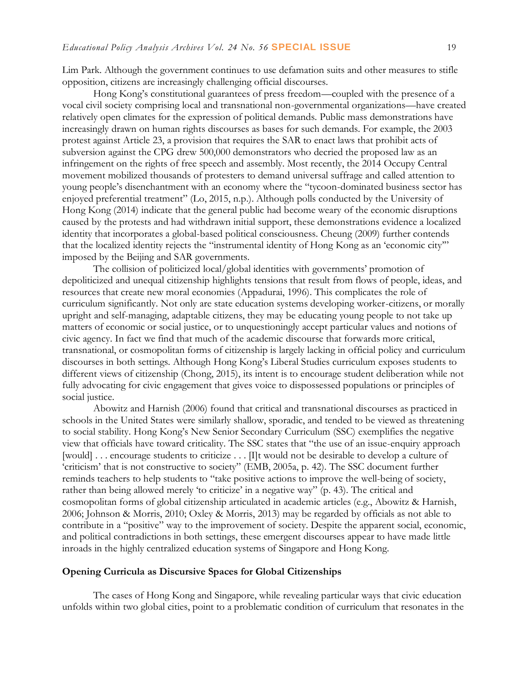Lim Park. Although the government continues to use defamation suits and other measures to stifle opposition, citizens are increasingly challenging official discourses.

Hong Kong's constitutional guarantees of press freedom—coupled with the presence of a vocal civil society comprising local and transnational non-governmental organizations—have created relatively open climates for the expression of political demands. Public mass demonstrations have increasingly drawn on human rights discourses as bases for such demands. For example, the 2003 protest against Article 23, a provision that requires the SAR to enact laws that prohibit acts of subversion against the CPG drew 500,000 demonstrators who decried the proposed law as an infringement on the rights of free speech and assembly. Most recently, the 2014 Occupy Central movement mobilized thousands of protesters to demand universal suffrage and called attention to young people's disenchantment with an economy where the "tycoon-dominated business sector has enjoyed preferential treatment" (Lo, 2015, n.p.). Although polls conducted by the University of Hong Kong (2014) indicate that the general public had become weary of the economic disruptions caused by the protests and had withdrawn initial support, these demonstrations evidence a localized identity that incorporates a global-based political consciousness. Cheung (2009) further contends that the localized identity rejects the "instrumental identity of Hong Kong as an 'economic city'" imposed by the Beijing and SAR governments.

The collision of politicized local/global identities with governments' promotion of depoliticized and unequal citizenship highlights tensions that result from flows of people, ideas, and resources that create new moral economies (Appadurai, 1996). This complicates the role of curriculum significantly. Not only are state education systems developing worker-citizens, or morally upright and self-managing, adaptable citizens, they may be educating young people to not take up matters of economic or social justice, or to unquestioningly accept particular values and notions of civic agency. In fact we find that much of the academic discourse that forwards more critical, transnational, or cosmopolitan forms of citizenship is largely lacking in official policy and curriculum discourses in both settings. Although Hong Kong's Liberal Studies curriculum exposes students to different views of citizenship (Chong, 2015), its intent is to encourage student deliberation while not fully advocating for civic engagement that gives voice to dispossessed populations or principles of social justice.

Abowitz and Harnish (2006) found that critical and transnational discourses as practiced in schools in the United States were similarly shallow, sporadic, and tended to be viewed as threatening to social stability. Hong Kong's New Senior Secondary Curriculum (SSC) exemplifies the negative view that officials have toward criticality. The SSC states that "the use of an issue-enquiry approach [would] ... encourage students to criticize ... [I]t would not be desirable to develop a culture of 'criticism' that is not constructive to society" (EMB, 2005a, p. 42). The SSC document further reminds teachers to help students to "take positive actions to improve the well-being of society, rather than being allowed merely 'to criticize' in a negative way" (p. 43). The critical and cosmopolitan forms of global citizenship articulated in academic articles (e.g., Abowitz & Harnish, 2006; Johnson & Morris, 2010; Oxley & Morris, 2013) may be regarded by officials as not able to contribute in a "positive" way to the improvement of society. Despite the apparent social, economic, and political contradictions in both settings, these emergent discourses appear to have made little inroads in the highly centralized education systems of Singapore and Hong Kong.

#### **Opening Curricula as Discursive Spaces for Global Citizenships**

The cases of Hong Kong and Singapore, while revealing particular ways that civic education unfolds within two global cities, point to a problematic condition of curriculum that resonates in the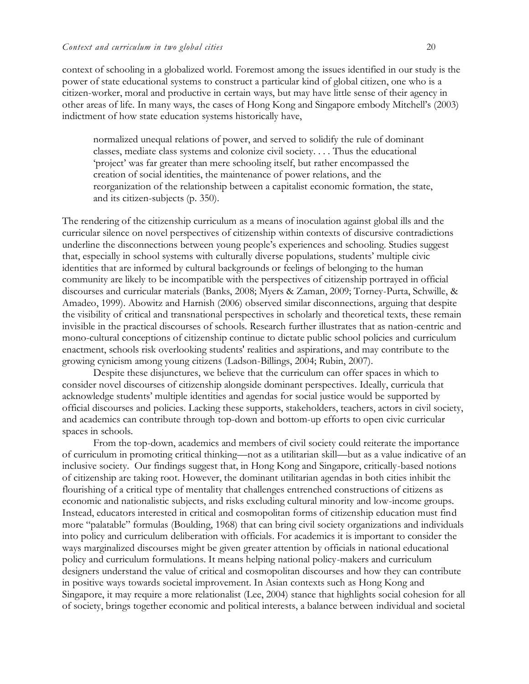context of schooling in a globalized world. Foremost among the issues identified in our study is the power of state educational systems to construct a particular kind of global citizen, one who is a citizen-worker, moral and productive in certain ways, but may have little sense of their agency in other areas of life. In many ways, the cases of Hong Kong and Singapore embody Mitchell's (2003) indictment of how state education systems historically have,

normalized unequal relations of power, and served to solidify the rule of dominant classes, mediate class systems and colonize civil society. . . . Thus the educational 'project' was far greater than mere schooling itself, but rather encompassed the creation of social identities, the maintenance of power relations, and the reorganization of the relationship between a capitalist economic formation, the state, and its citizen-subjects (p. 350).

The rendering of the citizenship curriculum as a means of inoculation against global ills and the curricular silence on novel perspectives of citizenship within contexts of discursive contradictions underline the disconnections between young people's experiences and schooling. Studies suggest that, especially in school systems with culturally diverse populations, students' multiple civic identities that are informed by cultural backgrounds or feelings of belonging to the human community are likely to be incompatible with the perspectives of citizenship portrayed in official discourses and curricular materials (Banks, 2008; Myers & Zaman, 2009; Torney-Purta, Schwille, & Amadeo, 1999). Abowitz and Harnish (2006) observed similar disconnections, arguing that despite the visibility of critical and transnational perspectives in scholarly and theoretical texts, these remain invisible in the practical discourses of schools. Research further illustrates that as nation-centric and mono-cultural conceptions of citizenship continue to dictate public school policies and curriculum enactment, schools risk overlooking students' realities and aspirations, and may contribute to the growing cynicism among young citizens (Ladson-Billings, 2004; Rubin, 2007).

Despite these disjunctures, we believe that the curriculum can offer spaces in which to consider novel discourses of citizenship alongside dominant perspectives. Ideally, curricula that acknowledge students' multiple identities and agendas for social justice would be supported by official discourses and policies. Lacking these supports, stakeholders, teachers, actors in civil society, and academics can contribute through top-down and bottom-up efforts to open civic curricular spaces in schools.

From the top-down, academics and members of civil society could reiterate the importance of curriculum in promoting critical thinking—not as a utilitarian skill—but as a value indicative of an inclusive society. Our findings suggest that, in Hong Kong and Singapore, critically-based notions of citizenship are taking root. However, the dominant utilitarian agendas in both cities inhibit the flourishing of a critical type of mentality that challenges entrenched constructions of citizens as economic and nationalistic subjects, and risks excluding cultural minority and low-income groups. Instead, educators interested in critical and cosmopolitan forms of citizenship education must find more "palatable" formulas (Boulding, 1968) that can bring civil society organizations and individuals into policy and curriculum deliberation with officials. For academics it is important to consider the ways marginalized discourses might be given greater attention by officials in national educational policy and curriculum formulations. It means helping national policy-makers and curriculum designers understand the value of critical and cosmopolitan discourses and how they can contribute in positive ways towards societal improvement. In Asian contexts such as Hong Kong and Singapore, it may require a more relationalist (Lee, 2004) stance that highlights social cohesion for all of society, brings together economic and political interests, a balance between individual and societal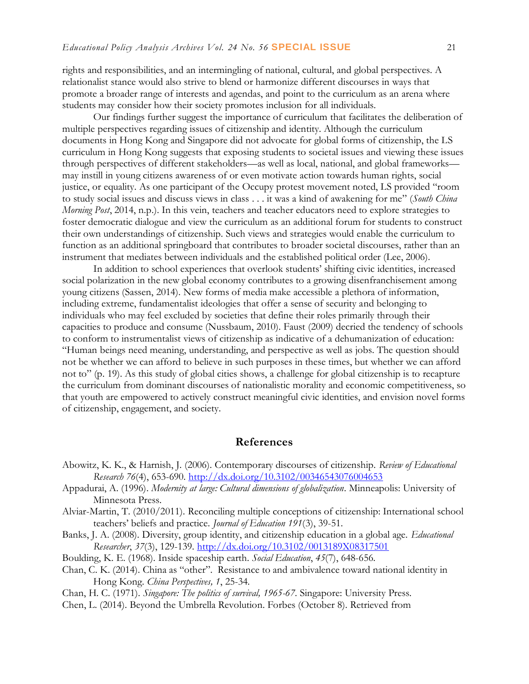rights and responsibilities, and an intermingling of national, cultural, and global perspectives. A relationalist stance would also strive to blend or harmonize different discourses in ways that promote a broader range of interests and agendas, and point to the curriculum as an arena where students may consider how their society promotes inclusion for all individuals.

Our findings further suggest the importance of curriculum that facilitates the deliberation of multiple perspectives regarding issues of citizenship and identity. Although the curriculum documents in Hong Kong and Singapore did not advocate for global forms of citizenship, the LS curriculum in Hong Kong suggests that exposing students to societal issues and viewing these issues through perspectives of different stakeholders—as well as local, national, and global frameworks may instill in young citizens awareness of or even motivate action towards human rights, social justice, or equality. As one participant of the Occupy protest movement noted, LS provided "room to study social issues and discuss views in class . . . it was a kind of awakening for me" (*South China Morning Post*, 2014, n.p.). In this vein, teachers and teacher educators need to explore strategies to foster democratic dialogue and view the curriculum as an additional forum for students to construct their own understandings of citizenship. Such views and strategies would enable the curriculum to function as an additional springboard that contributes to broader societal discourses, rather than an instrument that mediates between individuals and the established political order (Lee, 2006).

In addition to school experiences that overlook students' shifting civic identities, increased social polarization in the new global economy contributes to a growing disenfranchisement among young citizens (Sassen, 2014). New forms of media make accessible a plethora of information, including extreme, fundamentalist ideologies that offer a sense of security and belonging to individuals who may feel excluded by societies that define their roles primarily through their capacities to produce and consume (Nussbaum, 2010). Faust (2009) decried the tendency of schools to conform to instrumentalist views of citizenship as indicative of a dehumanization of education: "Human beings need meaning, understanding, and perspective as well as jobs. The question should not be whether we can afford to believe in such purposes in these times, but whether we can afford not to" (p. 19). As this study of global cities shows, a challenge for global citizenship is to recapture the curriculum from dominant discourses of nationalistic morality and economic competitiveness, so that youth are empowered to actively construct meaningful civic identities, and envision novel forms of citizenship, engagement, and society.

#### **References**

- Abowitz, K. K., & Harnish, J. (2006). Contemporary discourses of citizenship. *Review of Educational Research 76*(4), 653-690.<http://dx.doi.org/10.3102/00346543076004653>
- Appadurai, A. (1996). *Modernity at large: Cultural dimensions of globalization*. Minneapolis: University of Minnesota Press.
- Alviar-Martin, T. (2010/2011). Reconciling multiple conceptions of citizenship: International school teachers' beliefs and practice. *Journal of Education 191*(3), 39-51.
- Banks, J. A. (2008). Diversity, group identity, and citizenship education in a global age. *Educational Researcher*, *37*(3), 129-139. <http://dx.doi.org/10.3102/0013189X08317501>
- Boulding, K. E. (1968). Inside spaceship earth. *Social Education*, *45*(7), 648-656.
- Chan, C. K. (2014). China as "other". Resistance to and ambivalence toward national identity in Hong Kong. *China Perspectives, 1*, 25-34.

Chan, H. C. (1971). *Singapore: The politics of survival, 1965-67*. Singapore: University Press.

Chen, L. (2014). Beyond the Umbrella Revolution. Forbes (October 8). Retrieved from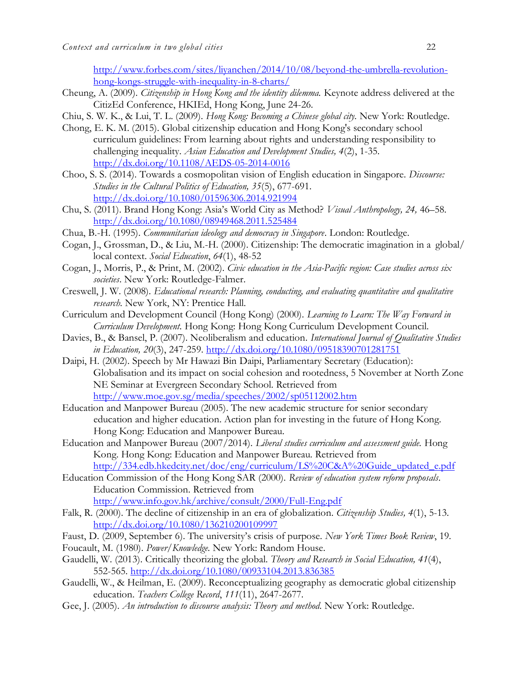[http://www.forbes.com/sites/liyanchen/2014/10/08/beyond-the-umbrella-revolution](http://www.forbes.com/sites/liyanchen/2014/10/08/beyond-the-umbrella-revolution-hong-kongs-struggle-with-inequality-in-8-charts/)[hong-kongs-struggle-with-inequality-in-8-charts/](http://www.forbes.com/sites/liyanchen/2014/10/08/beyond-the-umbrella-revolution-hong-kongs-struggle-with-inequality-in-8-charts/) 

- Cheung, A. (2009). *Citizenship in Hong Kong and the identity dilemma.* Keynote address delivered at the CitizEd Conference, HKIEd, Hong Kong, June 24-26.
- Chiu, S. W. K., & Lui, T. L. (2009). *Hong Kong: Becoming a Chinese global city.* New York: Routledge.
- Chong, E. K. M. (2015). Global citizenship education and Hong Kong's secondary school curriculum guidelines: From learning about rights and understanding responsibility to challenging inequality. *Asian Education and Development Studies, 4*(2), 1-35. <http://dx.doi.org/10.1108/AEDS-05-2014-0016>
- Choo, S. S. (2014). Towards a cosmopolitan vision of English education in Singapore. *Discourse: Studies in the Cultural Politics of Education, 35*(5), 677-691. <http://dx.doi.org/10.1080/01596306.2014.921994>
- Chu, S. (2011). Brand Hong Kong: Asia's World City as Method? *Visual Anthropology, 24,* 46–58. <http://dx.doi.org/10.1080/08949468.2011.525484>
- Chua, B.-H. (1995). *Communitarian ideology and democracy in Singapore*. London: Routledge.
- Cogan, J., Grossman, D., & Liu, M.-H. (2000). Citizenship: The democratic imagination in a global/ local context. *Social Education*, *64*(1), 48-52
- Cogan, J., Morris, P., & Print, M. (2002). *Civic education in the Asia-Pacific region: Case studies across six societies*. New York: Routledge-Falmer.
- Creswell, J. W. (2008). *Educational research: Planning, conducting, and evaluating quantitative and qualitative research.* New York, NY: Prentice Hall.
- Curriculum and Development Council (Hong Kong) (2000). *Learning to Learn: The Way Forward in Curriculum Development.* Hong Kong: Hong Kong Curriculum Development Council.
- Davies, B., & Bansel, P. (2007). Neoliberalism and education. *International Journal of Qualitative Studies in Education, 20*(3), 247-259. <http://dx.doi.org/10.1080/09518390701281751>
- Daipi, H. (2002). Speech by Mr Hawazi Bin Daipi, Parliamentary Secretary (Education): Globalisation and its impact on social cohesion and rootedness, 5 November at North Zone NE Seminar at Evergreen Secondary School. Retrieved from <http://www.moe.gov.sg/media/speeches/2002/sp05112002.htm>
- Education and Manpower Bureau (2005). The new academic structure for senior secondary education and higher education. Action plan for investing in the future of Hong Kong. Hong Kong: Education and Manpower Bureau.
- Education and Manpower Bureau (2007/2014). *Liberal studies curriculum and assessment guide.* Hong Kong. Hong Kong: Education and Manpower Bureau. Retrieved from [http://334.edb.hkedcity.net/doc/eng/curriculum/LS%20C&A%20Guide\\_updated\\_e.pdf](http://334.edb.hkedcity.net/doc/eng/curriculum/LS%20C&A%20Guide_updated_e.pdf)
- Education Commission of the Hong Kong SAR (2000). *Review of education system reform proposals*. Education Commission. Retrieved from <http://www.info.gov.hk/archive/consult/2000/Full-Eng.pdf>
- Falk, R. (2000). The decline of citizenship in an era of globalization. *Citizenship Studies, 4*(1), 5-13. <http://dx.doi.org/10.1080/136210200109997>
- Faust, D. (2009, September 6). The university's crisis of purpose. *New York Times Book Review*, 19.
- Foucault, M. (1980). *Power/Knowledge.* New York: Random House.
- Gaudelli, W. (2013). Critically theorizing the global. *Theory and Research in Social Education, 41*(4), 552-565.<http://dx.doi.org/10.1080/00933104.2013.836385>
- Gaudelli, W., & Heilman, E. (2009). Reconceptualizing geography as democratic global citizenship education. *Teachers College Record*, *111*(11), 2647-2677.
- Gee, J. (2005). *An introduction to discourse analysis: Theory and method*. New York: Routledge.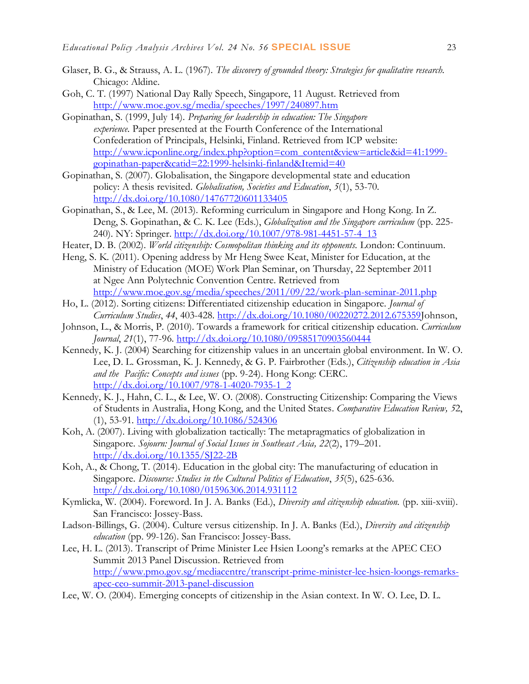- Glaser, B. G., & Strauss, A. L. (1967). *The discovery of grounded theory: Strategies for qualitative research.* Chicago: Aldine.
- Goh, C. T. (1997) National Day Rally Speech, Singapore, 11 August. Retrieved from <http://www.moe.gov.sg/media/speeches/1997/240897.htm>
- Gopinathan, S. (1999, July 14). *Preparing for leadership in education: The Singapore experience.* Paper presented at the Fourth Conference of the International Confederation of Principals, Helsinki, Finland. Retrieved from ICP website: [http://www.icponline.org/index.php?option=com\\_content&view=article&id=41:1999](http://www.icponline.org/index.php?option=com_content&view=article&id=41:1999-%20gopinathan-paper&catid=22:1999-helsinki-finland&Itemid=40) [gopinathan-paper&catid=22:1999-helsinki-finland&Itemid=40](http://www.icponline.org/index.php?option=com_content&view=article&id=41:1999-%20gopinathan-paper&catid=22:1999-helsinki-finland&Itemid=40)
- Gopinathan, S. (2007). Globalisation, the Singapore developmental state and education policy: A thesis revisited. *Globalisation, Societies and Education*, *5*(1), 53-70. <http://dx.doi.org/10.1080/14767720601133405>
- Gopinathan, S., & Lee, M. (2013). Reforming curriculum in Singapore and Hong Kong. In Z. Deng, S. Gopinathan, & C. K. Lee (Eds.), *Globalization and the Singapore curriculum* (pp. 225 240). NY: Springer. [http://dx.doi.org/10.1007/978-981-4451-57-4\\_13](http://dx.doi.org/10.1007/978-981-4451-57-4_13)
- Heater, D. B. (2002). *World citizenship: Cosmopolitan thinking and its opponents.* London: Continuum.
- Heng, S. K. (2011). Opening address by Mr Heng Swee Keat, Minister for Education, at the Ministry of Education (MOE) Work Plan Seminar, on Thursday, 22 September 2011 at Ngee Ann Polytechnic Convention Centre. Retrieved from <http://www.moe.gov.sg/media/speeches/2011/09/22/work-plan-seminar-2011.php>
- Ho, L. (2012). Sorting citizens: Differentiated citizenship education in Singapore. *Journal of Curriculum Studies*, *44*, 403-428. [http://dx.doi.org/10.1080/00220272.2012.675359J](http://dx.doi.org/10.1080/00220272.2012.675359)ohnson,
- Johnson, L., & Morris, P. (2010). Towards a framework for critical citizenship education. *Curriculum Journal*, *21*(1), 77-96. <http://dx.doi.org/10.1080/09585170903560444>
- Kennedy, K. J. (2004) Searching for citizenship values in an uncertain global environment. In W. O. Lee, D. L. Grossman, K. J. Kennedy, & G. P. Fairbrother (Eds.), *Citizenship education in Asia and the Pacific: Concepts and issues* (pp. 9-24). Hong Kong: CERC. [http://dx.doi.org/10.1007/978-1-4020-7935-1\\_2](http://dx.doi.org/10.1007/978-1-4020-7935-1_2)
- Kennedy, K. J., Hahn, C. L., & Lee, W. O. (2008). Constructing Citizenship: Comparing the Views of Students in Australia, Hong Kong, and the United States*. Comparative Education Review, 5*2, (1), 53-91.<http://dx.doi.org/10.1086/524306>
- Koh, A. (2007). Living with globalization tactically: The metapragmatics of globalization in Singapore. *Sojourn: Journal of Social Issues in Southeast Asia, 22*(2), 179–201. <http://dx.doi.org/10.1355/SJ22-2B>
- Koh, A., & Chong, T. (2014). Education in the global city: The manufacturing of education in Singapore. *Discourse: Studies in the Cultural Politics of Education*, *35*(5), 625-636. <http://dx.doi.org/10.1080/01596306.2014.931112>
- Kymlicka, W. (2004). Foreword. In J. A. Banks (Ed.), *Diversity and citizenship education.* (pp. xiii-xviii). San Francisco: Jossey-Bass.
- Ladson-Billings, G. (2004). Culture versus citizenship. In J. A. Banks (Ed.), *Diversity and citizenship education* (pp. 99-126). San Francisco: Jossey-Bass.
- Lee, H. L. (2013). Transcript of Prime Minister Lee Hsien Loong's remarks at the APEC CEO Summit 2013 Panel Discussion. Retrieved from [http://www.pmo.gov.sg/mediacentre/transcript-prime-minister-lee-hsien-loongs-remarks](http://www.pmo.gov.sg/mediacentre/transcript-prime-minister-lee-hsien-loongs-remarks-apec-ceo-summit-2013-panel-discussion)[apec-ceo-summit-2013-panel-discussion](http://www.pmo.gov.sg/mediacentre/transcript-prime-minister-lee-hsien-loongs-remarks-apec-ceo-summit-2013-panel-discussion)
- Lee, W. O. (2004). Emerging concepts of citizenship in the Asian context. In W. O. Lee, D. L.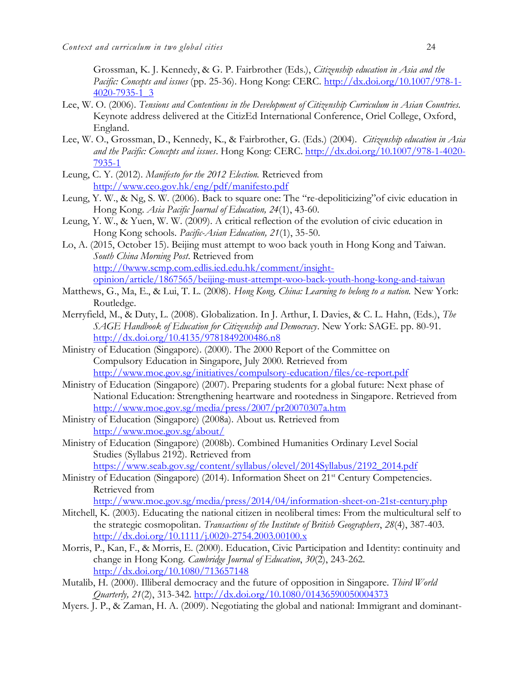Grossman, K. J. Kennedy, & G. P. Fairbrother (Eds.), *Citizenship education in Asia and the Pacific: Concepts and issues* (pp. 25-36). Hong Kong: CERC. [http://dx.doi.org/10.1007/978-1-](http://dx.doi.org/10.1007/978-1-4020-7935-1_3) [4020-7935-1\\_3](http://dx.doi.org/10.1007/978-1-4020-7935-1_3)

- Lee, W. O. (2006). *Tensions and Contentions in the Development of Citizenship Curriculum in Asian Countries.*  Keynote address delivered at the CitizEd International Conference, Oriel College, Oxford, England.
- Lee, W. O., Grossman, D., Kennedy, K., & Fairbrother, G. (Eds.) (2004). *Citizenship education in Asia and the Pacific: Concepts and issues*. Hong Kong: CERC. [http://dx.doi.org/10.1007/978-1-4020-](http://dx.doi.org/10.1007/978-1-4020-7935-1) [7935-1](http://dx.doi.org/10.1007/978-1-4020-7935-1)
- Leung, C. Y. (2012). *Manifesto for the 2012 Election.* Retrieved from <http://www.ceo.gov.hk/eng/pdf/manifesto.pdf>
- Leung, Y. W., & Ng, S. W. (2006). Back to square one: The "re-depoliticizing"of civic education in Hong Kong. *Asia Pacific Journal of Education, 24*(1), 43-60.
- Leung, Y. W., & Yuen, W. W. (2009). A critical reflection of the evolution of civic education in Hong Kong schools. *Pacific-Asian Education, 21*(1), 35-50.
- Lo, A. (2015, October 15). Beijing must attempt to woo back youth in Hong Kong and Taiwan. *South China Morning Post*. Retrieved from [http://0www.scmp.com.edlis.ied.edu.hk/comment/insight](http://0www.scmp.com.edlis.ied.edu.hk/comment/insight-opinion/article/1867565/beijing-must-attempt-woo-back-youth-hong-kong-and-taiwan)[opinion/article/1867565/beijing-must-attempt-woo-back-youth-hong-kong-and-taiwan](http://0www.scmp.com.edlis.ied.edu.hk/comment/insight-opinion/article/1867565/beijing-must-attempt-woo-back-youth-hong-kong-and-taiwan)
- Matthews, G., Ma, E., & Lui, T. L. (2008). *Hong Kong, China: Learning to belong to a nation.* New York: Routledge.
- Merryfield, M., & Duty, L. (2008). Globalization. In J. Arthur, I. Davies, & C. L. Hahn, (Eds.), *The SAGE Handbook of Education for Citizenship and Democracy*. New York: SAGE. pp. 80-91. <http://dx.doi.org/10.4135/9781849200486.n8>
- Ministry of Education (Singapore). (2000). The 2000 Report of the Committee on Compulsory Education in Singapore, July 2000. Retrieved from <http://www.moe.gov.sg/initiatives/compulsory-education/files/ce-report.pdf>
- Ministry of Education (Singapore) (2007). Preparing students for a global future: Next phase of National Education: Strengthening heartware and rootedness in Singapore. Retrieved from <http://www.moe.gov.sg/media/press/2007/pr20070307a.htm>
- Ministry of Education (Singapore) (2008a). About us. Retrieved from <http://www.moe.gov.sg/about/>
- Ministry of Education (Singapore) (2008b). Combined Humanities Ordinary Level Social Studies (Syllabus 2192). Retrieved from [https://www.seab.gov.sg/content/syllabus/olevel/2014Syllabus/2192\\_2014.pdf](https://www.seab.gov.sg/content/syllabus/olevel/2014Syllabus/2192_2014.pdf)
- Ministry of Education (Singapore) (2014). Information Sheet on 21<sup>st</sup> Century Competencies. Retrieved from

<http://www.moe.gov.sg/media/press/2014/04/information-sheet-on-21st-century.php>

- Mitchell, K. (2003). Educating the national citizen in neoliberal times: From the multicultural self to the strategic cosmopolitan. *Transactions of the Institute of British Geographers*, *28*(4), 387-403. <http://dx.doi.org/10.1111/j.0020-2754.2003.00100.x>
- Morris, P., Kan, F., & Morris, E. (2000). Education, Civic Participation and Identity: continuity and change in Hong Kong. *Cambridge Journal of Education*, *30*(2), 243-262. <http://dx.doi.org/10.1080/713657148>
- Mutalib, H. (2000). Illiberal democracy and the future of opposition in Singapore. *Third World Quarterly, 21*(2), 313-342. <http://dx.doi.org/10.1080/01436590050004373>
- Myers. J. P., & Zaman, H. A. (2009). Negotiating the global and national: Immigrant and dominant-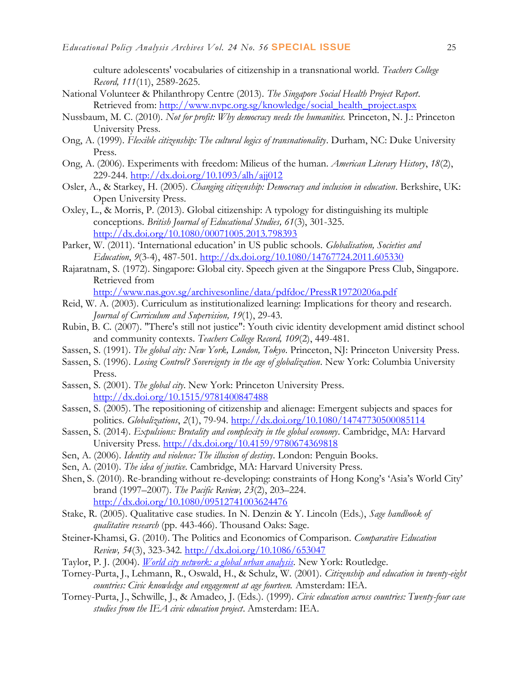culture adolescents' vocabularies of citizenship in a transnational world. *Teachers College Record, 111*(11), 2589-2625.

- National Volunteer & Philanthropy Centre (2013). *The Singapore Social Health Project Report*. Retrieved from: [http://www.nvpc.org.sg/knowledge/social\\_health\\_project.aspx](http://www.nvpc.org.sg/knowledge/social_health_project.aspx)
- Nussbaum, M. C. (2010). *Not for profit: Why democracy needs the humanities.* Princeton, N. J.: Princeton University Press.
- Ong, A. (1999). *Flexible citizenship: The cultural logics of transnationality*. Durham, NC: Duke University Press.
- Ong, A. (2006). Experiments with freedom: Milieus of the human. *American Literary History*, *18*(2), 229-244. <http://dx.doi.org/10.1093/alh/ajj012>
- Osler, A., & Starkey, H. (2005). *Changing citizenship: Democracy and inclusion in education*. Berkshire, UK: Open University Press.
- Oxley, L., & Morris, P. (2013). Global citizenship: A typology for distinguishing its multiple conceptions. *British Journal of Educational Studies, 61*(3), 301-325. <http://dx.doi.org/10.1080/00071005.2013.798393>
- Parker, W. (2011). 'International education' in US public schools. *Globalisation, Societies and Education*, *9*(3-4), 487-501. <http://dx.doi.org/10.1080/14767724.2011.605330>
- Rajaratnam, S. (1972). Singapore: Global city. Speech given at the Singapore Press Club, Singapore. Retrieved from

<http://www.nas.gov.sg/archivesonline/data/pdfdoc/PressR19720206a.pdf>

- Reid, W. A. (2003). Curriculum as institutionalized learning: Implications for theory and research. *Journal of Curriculum and Supervision, 19*(1), 29-43.
- Rubin, B. C. (2007). "There's still not justice": Youth civic identity development amid distinct school and community contexts. *Teachers College Record, 109*(2), 449-481.
- Sassen, S. (1991). *The global city: New York, London, Tokyo*. Princeton, NJ: Princeton University Press.
- Sassen, S. (1996). *Losing Control? Sovereignty in the age of globalization*. New York: Columbia University Press.
- Sassen, S. (2001). *The global city*. New York: Princeton University Press. <http://dx.doi.org/10.1515/9781400847488>
- Sassen, S. (2005). The repositioning of citizenship and alienage: Emergent subjects and spaces for politics. *Globalizations*, *2*(1), 79-94. <http://dx.doi.org/10.1080/14747730500085114>
- Sassen, S. (2014). *Expulsions: Brutality and complexity in the global economy*. Cambridge, MA: Harvard University Press.<http://dx.doi.org/10.4159/9780674369818>
- Sen, A. (2006). *Identity and violence: The illusion of destiny*. London: Penguin Books.
- Sen, A. (2010). *The idea of justice.* Cambridge, MA: Harvard University Press.
- Shen, S. (2010). Re-branding without re-developing: constraints of Hong Kong's 'Asia's World City' brand (1997–2007). *The Pacific Review, 23*(2), 203–224. <http://dx.doi.org/10.1080/09512741003624476>
- Stake, R. (2005). Qualitative case studies. In N. Denzin & Y. Lincoln (Eds.), *Sage handbook of qualitative research* (pp. 443-466). Thousand Oaks: Sage.
- Steiner‐Khamsi, G. (2010). The Politics and Economics of Comparison. *Comparative Education Review, 54*(3), 323-342. <http://dx.doi.org/10.1086/653047>
- Taylor, P. J. (2004). *[World city network: a global urban analysis.](http://books.google.co.uk/books?id=RKpvD7nvBKUC&pg=PR9)* New York: Routledge.
- Torney-Purta, J., Lehmann, R., Oswald, H., & Schulz, W. (2001). *Citizenship and education in twenty-eight countries: Civic knowledge and engagement at age fourteen.* Amsterdam: IEA.
- Torney-Purta, J., Schwille, J., & Amadeo, J. (Eds.). (1999). *Civic education across countries: Twenty-four case studies from the IEA civic education project*. Amsterdam: IEA.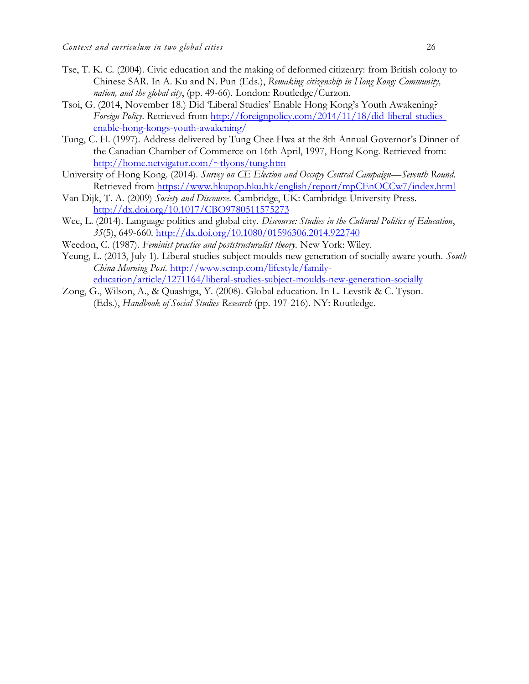- Tse, T. K. C. (2004). Civic education and the making of deformed citizenry: from British colony to Chinese SAR. In A. Ku and N. Pun (Eds.), *Remaking citizenship in Hong Kong: Community, nation, and the global city*, (pp. 49-66). London: Routledge/Curzon.
- Tsoi, G. (2014, November 18.) Did 'Liberal Studies' Enable Hong Kong's Youth Awakening? *Foreign Policy*. Retrieved from [http://foreignpolicy.com/2014/11/18/did-liberal-studies](http://foreignpolicy.com/2014/11/18/did-liberal-studies-enable-hong-kongs-youth-awakening/)[enable-hong-kongs-youth-awakening/](http://foreignpolicy.com/2014/11/18/did-liberal-studies-enable-hong-kongs-youth-awakening/)
- Tung, C. H. (1997). Address delivered by Tung Chee Hwa at the 8th Annual Governor's Dinner of the Canadian Chamber of Commerce on 16th April, 1997, Hong Kong. Retrieved from: <http://home.netvigator.com/~tlyons/tung.htm>
- University of Hong Kong. (2014). *Survey on CE Election and Occupy Central Campaign—Seventh Round.* Retrieved from<https://www.hkupop.hku.hk/english/report/mpCEnOCCw7/index.html>
- Van Dijk, T. A. (2009) *Society and Discourse.* Cambridge, UK: Cambridge University Press. <http://dx.doi.org/10.1017/CBO9780511575273>
- Wee, L. (2014). Language politics and global city. *Discourse: Studies in the Cultural Politics of Education*, *35*(5), 649-660. <http://dx.doi.org/10.1080/01596306.2014.922740>
- Weedon, C. (1987). *Feminist practice and poststructuralist theory.* New York: Wiley.
- Yeung, L. (2013, July 1). Liberal studies subject moulds new generation of socially aware youth. *South China Morning Post.* [http://www.scmp.com/lifestyle/family](http://www.scmp.com/lifestyle/family-education/article/1271164/liberal-studies-subject-moulds-new-generation-socially)[education/article/1271164/liberal-studies-subject-moulds-new-generation-socially](http://www.scmp.com/lifestyle/family-education/article/1271164/liberal-studies-subject-moulds-new-generation-socially)
- Zong, G., Wilson, A., & Quashiga, Y. (2008). Global education. In L. Levstik & C. Tyson. (Eds.), *Handbook of Social Studies Research* (pp. 197-216). NY: Routledge.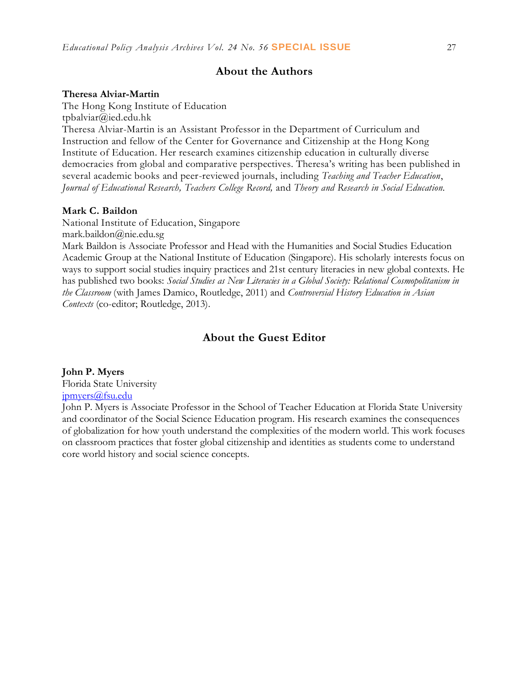## **About the Authors**

#### **Theresa Alviar-Martin**

The Hong Kong Institute of Education tpbalviar@ied.edu.hk Theresa Alviar-Martin is an Assistant Professor in the Department of Curriculum and Instruction and fellow of the Center for Governance and Citizenship at the Hong Kong Institute of Education. Her research examines citizenship education in culturally diverse democracies from global and comparative perspectives. Theresa's writing has been published in several academic books and peer-reviewed journals, including *Teaching and Teacher Education*, *Journal of Educational Research, Teachers College Record,* and *Theory and Research in Social Education.*

#### **Mark C. Baildon**

National Institute of Education, Singapore mark.baildon@nie.edu.sg

Mark Baildon is Associate Professor and Head with the Humanities and Social Studies Education Academic Group at the National Institute of Education (Singapore). His scholarly interests focus on ways to support social studies inquiry practices and 21st century literacies in new global contexts. He has published two books: *Social Studies as New Literacies in a Global Society: Relational Cosmopolitanism in the Classroom* (with James Damico, Routledge, 2011) and *Controversial History Education in Asian Contexts* (co-editor; Routledge, 2013).

## **About the Guest Editor**

#### **John P. Myers**

Florida State University [jpmyers@fsu.edu](mailto:jpmyers@fsu.edu)

John P. Myers is Associate Professor in the School of Teacher Education at Florida State University and coordinator of the Social Science Education program. His research examines the consequences of globalization for how youth understand the complexities of the modern world. This work focuses on classroom practices that foster global citizenship and identities as students come to understand core world history and social science concepts.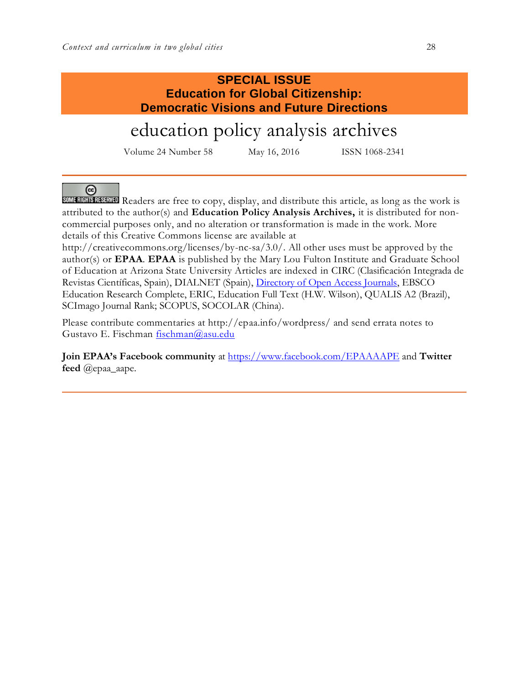## **SPECIAL ISSUE Education for Global Citizenship: Democratic Visions and Future Directions**

# education policy analysis archives

Volume 24 Number 58 May 16, 2016 ISSN 1068-2341

## ⊛

SOME RIGHTS READERS are free to copy, display, and distribute this article, as long as the work is attributed to the author(s) and **Education Policy Analysis Archives,** it is distributed for noncommercial purposes only, and no alteration or transformation is made in the work. More details of this Creative Commons license are available at

http://creativecommons.org/licenses/by-nc-sa/3.0/. All other uses must be approved by the author(s) or **EPAA**. **EPAA** is published by the Mary Lou Fulton Institute and Graduate School of Education at Arizona State University Articles are indexed in CIRC (Clasificación Integrada de Revistas Científicas, Spain), DIALNET (Spain), [Directory of Open Access Journals,](http://www.doaj.org/) EBSCO Education Research Complete, ERIC, Education Full Text (H.W. Wilson), QUALIS A2 (Brazil), SCImago Journal Rank; SCOPUS, SOCOLAR (China).

Please contribute commentaries at http://epaa.info/wordpress/ and send errata notes to Gustavo E. Fischman [fischman@asu.edu](mailto:fischman@asu.edu)

**Join EPAA's Facebook community** at<https://www.facebook.com/EPAAAAPE> and **Twitter feed** @epaa\_aape.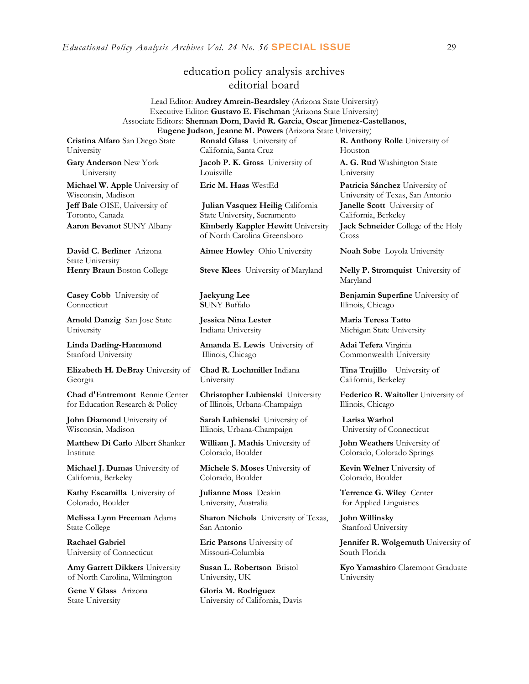## education policy analysis archives editorial board

#### Lead Editor: **Audrey Amrein-Beardsley** (Arizona State University) Executive Editor: **Gustavo E. Fischman** (Arizona State University) Associate Editors: **Sherman Dorn**, **David R. Garcia**, **Oscar Jimenez-Castellanos**, **Eugene Judson**, **Jeanne M. Powers** (Arizona State University)

**Cristina Alfaro** San Diego State University

**Gary Anderson** New York University

**Michael W. Apple** University of Wisconsin, Madison **Jeff Bale** OISE, University of Toronto, Canada

**David C. Berliner** Arizona State University

**Casey Cobb** University of Connecticut

**Arnold Danzig** San Jose State University

**Linda Darling-Hammond**  Stanford University

**Elizabeth H. DeBray** University of Georgia

**Chad d'Entremont** Rennie Center for Education Research & Policy

**John Diamond** University of Wisconsin, Madison

**Matthew Di Carlo** Albert Shanker Institute

**Michael J. Dumas** University of California, Berkeley

**Kathy Escamilla** University of Colorado, Boulder

**Melissa Lynn Freeman** Adams State College

**Rachael Gabriel** University of Connecticut

**Amy Garrett Dikkers** University of North Carolina, Wilmington

**Gene V Glass** Arizona State University

**Ronald Glass** University of California, Santa Cruz

**Jacob P. K. Gross** University of Louisville

**Julian Vasquez Heilig** California State University, Sacramento **Aaron Bevanot** SUNY Albany **Kimberly Kappler Hewitt** University of North Carolina Greensboro

**Aimee Howley** Ohio University **Noah Sobe** Loyola University

**Henry Braun** Boston College **Steve Klees** University of Maryland **Nelly P. Stromquist** University of

**Jaekyung Lee S**UNY Buffalo

**Jessica Nina Lester** Indiana University

**Amanda E. Lewis** University of Illinois, Chicago

**Chad R. Lochmiller** Indiana University

**Christopher Lubienski** University of Illinois, Urbana-Champaign

**Sarah Lubienski** University of Illinois, Urbana-Champaign

**William J. Mathis** University of Colorado, Boulder

**Michele S. Moses** University of Colorado, Boulder

**Julianne Moss** Deakin University, Australia

**Sharon Nichols** University of Texas, San Antonio

**Eric Parsons** University of Missouri-Columbia

**Susan L. Robertson** Bristol University, UK

**Gloria M. Rodriguez** University of California, Davis **R. Anthony Rolle** University of Houston

**A. G. Rud** Washington State University

**Eric M. Haas** WestEd **Patricia Sánchez** University of University of Texas, San Antonio **Janelle Scott** University of California, Berkeley **Jack Schneider** College of the Holy Cross

Maryland

**Benjamin Superfine** University of Illinois, Chicago

**Maria Teresa Tatto**  Michigan State University

**Adai Tefera** Virginia Commonwealth University

**Tina Trujillo** University of California, Berkeley

**Federico R. Waitoller** University of Illinois, Chicago

**Larisa Warhol** University of Connecticut

**John Weathers** University of Colorado, Colorado Springs

**Kevin Welner** University of Colorado, Boulder

**Terrence G. Wiley** Center for Applied Linguistics

**John Willinsky**  Stanford University

**Jennifer R. Wolgemuth** University of South Florida

**Kyo Yamashiro** Claremont Graduate University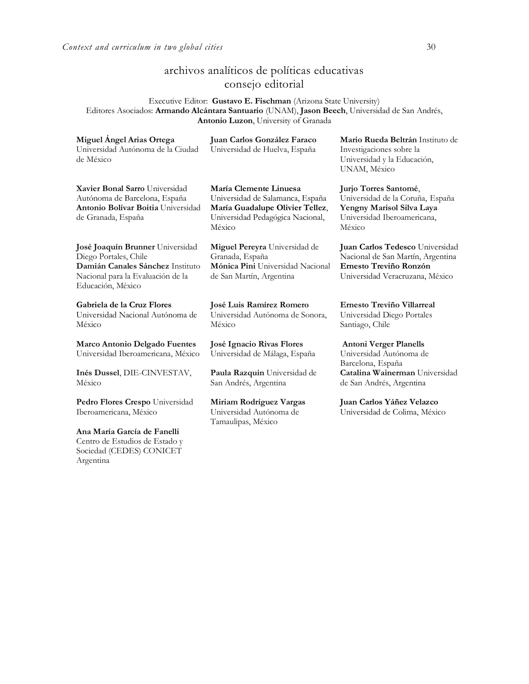## archivos analíticos de políticas educativas consejo editorial

Executive Editor: **Gustavo E. Fischman** (Arizona State University) Editores Asociados: **Armando Alcántara Santuario** (UNAM), **Jason Beech**, Universidad de San Andrés, **Antonio Luzon**, University of Granada

| Miguel Angel Arias Ortega<br>Universidad Autónoma de la Ciudad<br>de México                                                                             | Juan Carlos González Faraco<br>Universidad de Huelva, España                                                                                | Mario Rueda Beltrán Instituto de<br>Investigaciones sobre la<br>Universidad y la Educación,<br>UNAM, México                       |
|---------------------------------------------------------------------------------------------------------------------------------------------------------|---------------------------------------------------------------------------------------------------------------------------------------------|-----------------------------------------------------------------------------------------------------------------------------------|
| Xavier Bonal Sarro Universidad<br>Autónoma de Barcelona, España<br>Antonio Bolívar Boitia Universidad<br>de Granada, España                             | María Clemente Linuesa<br>Universidad de Salamanca, España<br>María Guadalupe Olivier Tellez,<br>Universidad Pedagógica Nacional,<br>México | Jurjo Torres Santomé,<br>Universidad de la Coruña, España<br>Yengny Marisol Silva Laya<br>Universidad Iberoamericana,<br>México   |
| José Joaquín Brunner Universidad<br>Diego Portales, Chile<br>Damián Canales Sánchez Instituto<br>Nacional para la Evaluación de la<br>Educación, México | Miguel Pereyra Universidad de<br>Granada, España<br>Mónica Pini Universidad Nacional<br>de San Martín, Argentina                            | Juan Carlos Tedesco Universidad<br>Nacional de San Martín, Argentina<br>Ernesto Treviño Ronzón<br>Universidad Veracruzana, México |
| Gabriela de la Cruz Flores<br>Universidad Nacional Autónoma de<br>México                                                                                | José Luis Ramírez Romero<br>Universidad Autónoma de Sonora,<br>México                                                                       | Ernesto Treviño Villarreal<br>Universidad Diego Portales<br>Santiago, Chile                                                       |
| <b>Marco Antonio Delgado Fuentes</b>                                                                                                                    |                                                                                                                                             |                                                                                                                                   |
| Universidad Iberoamericana, México<br>Inés Dussel, DIE-CINVESTAV,<br>México                                                                             | José Ignacio Rivas Flores<br>Universidad de Málaga, España<br>Paula Razquin Universidad de                                                  | <b>Antoni Verger Planells</b><br>Universidad Autónoma de<br>Barcelona, España<br>Catalina Wainerman Universidad                   |
| <b>Pedro Flores Crespo</b> Universidad<br>Iberoamericana, México                                                                                        | San Andrés, Argentina<br>Miriam Rodríguez Vargas<br>Universidad Autónoma de<br>Tamaulipas, México                                           | de San Andrés, Argentina<br>Juan Carlos Yáñez Velazco<br>Universidad de Colima, México                                            |